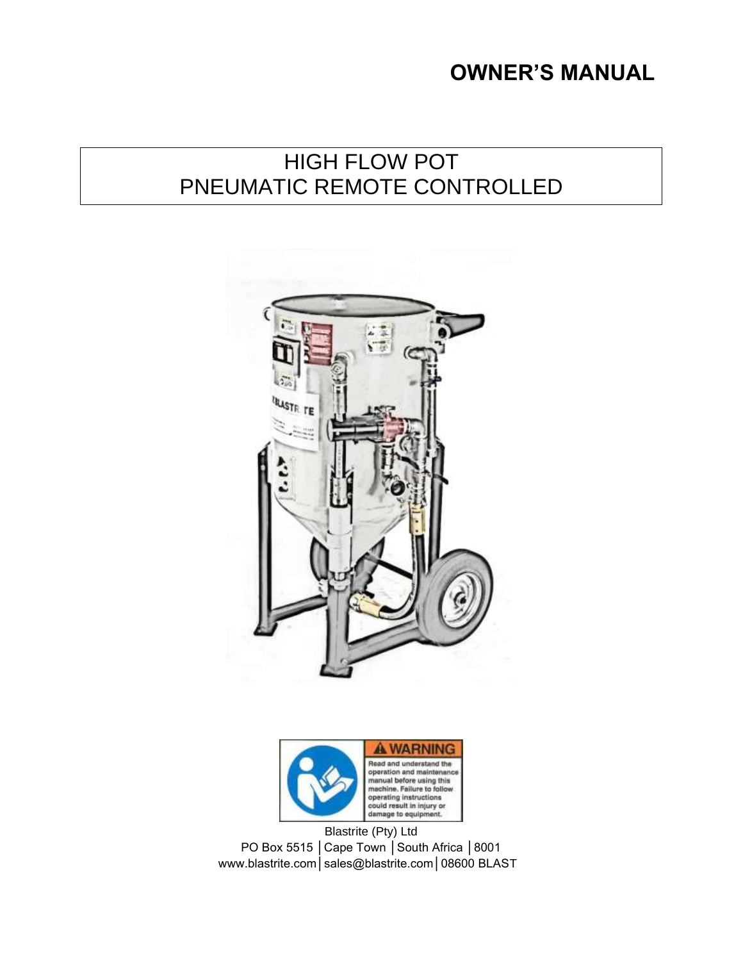# **OWNER'S MANUAL**

# HIGH FLOW POT PNEUMATIC REMOTE CONTROLLED





Blastrite (Pty) Ltd PO Box 5515 | Cape Town | South Africa | 8001 www.blastrite.com│sales@blastrite.com│08600 BLAST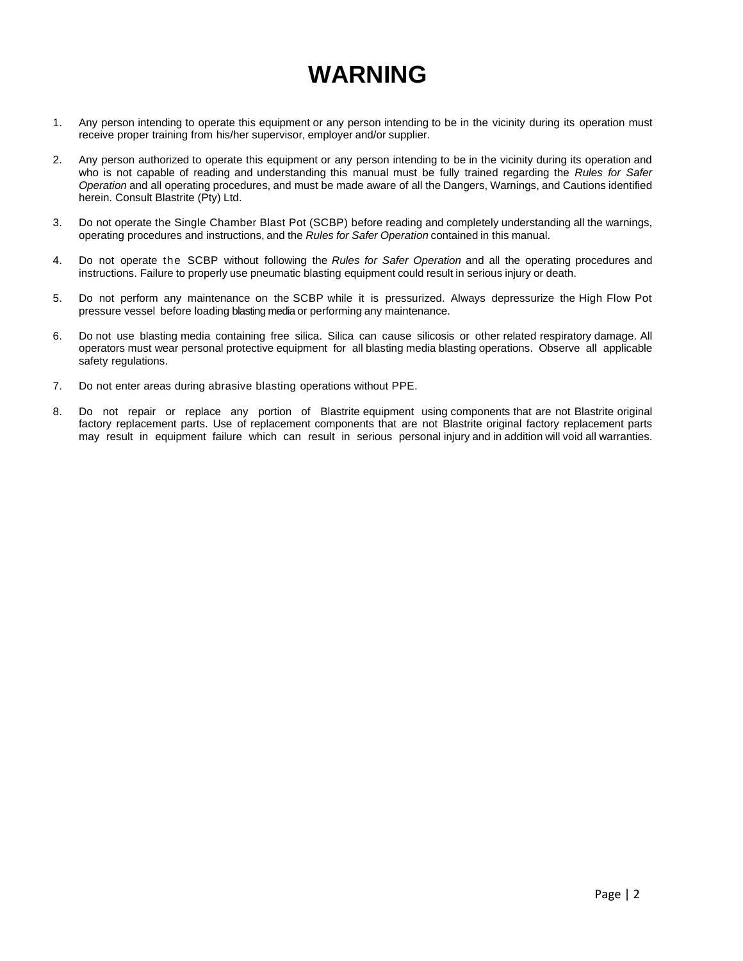# **WARNING**

- 1. Any person intending to operate this equipment or any person intending to be in the vicinity during its operation must receive proper training from his/her supervisor, employer and/or supplier.
- 2. Any person authorized to operate this equipment or any person intending to be in the vicinity during its operation and who is not capable of reading and understanding this manual must be fully trained regarding the *Rules for Safer Operation* and all operating procedures, and must be made aware of all the Dangers, Warnings, and Cautions identified herein. Consult Blastrite (Pty) Ltd.
- 3. Do not operate the Single Chamber Blast Pot (SCBP) before reading and completely understanding all the warnings, operating procedures and instructions, and the *Rules for Safer Operation* contained in this manual.
- 4. Do not operate the SCBP without following the *Rules for Safer Operation* and all the operating procedures and instructions. Failure to properly use pneumatic blasting equipment could result in serious injury or death.
- 5. Do not perform any maintenance on the SCBP while it is pressurized. Always depressurize the High Flow Pot pressure vessel before loading blasting media or performing any maintenance.
- 6. Do not use blasting media containing free silica. Silica can cause silicosis or other related respiratory damage. All operators must wear personal protective equipment for all blasting media blasting operations. Observe all applicable safety regulations.
- 7. Do not enter areas during abrasive blasting operations without PPE.
- 8. Do not repair or replace any portion of Blastrite equipment using components that are not Blastrite original factory replacement parts. Use of replacement components that are not Blastrite original factory replacement parts may result in equipment failure which can result in serious personal injury and in addition will void all warranties.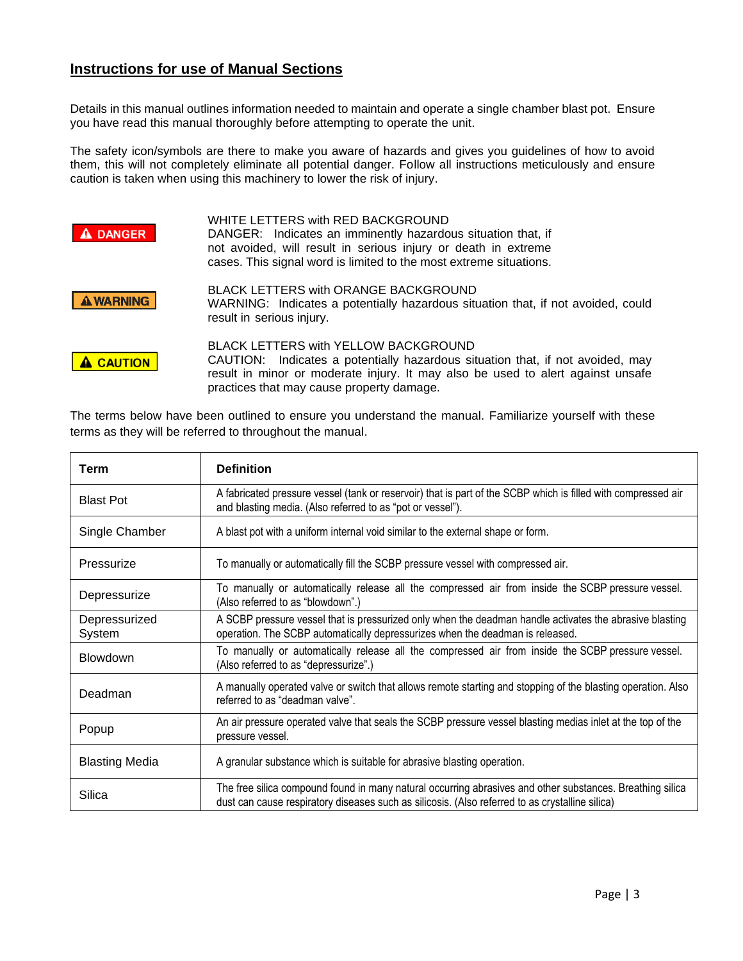#### **Instructions for use of Manual Sections**

Details in this manual outlines information needed to maintain and operate a single chamber blast pot. Ensure you have read this manual thoroughly before attempting to operate the unit.

The safety icon/symbols are there to make you aware of hazards and gives you guidelines of how to avoid them, this will not completely eliminate all potential danger. Follow all instructions meticulously and ensure caution is taken when using this machinery to lower the risk of injury.

| <b>DANGER</b>    | WHITE LETTERS with RED BACKGROUND<br>DANGER: Indicates an imminently hazardous situation that, if<br>not avoided, will result in serious injury or death in extreme<br>cases. This signal word is limited to the most extreme situations.              |
|------------------|--------------------------------------------------------------------------------------------------------------------------------------------------------------------------------------------------------------------------------------------------------|
| <b>A WARNING</b> | BLACK LETTERS with ORANGE BACKGROUND<br>WARNING: Indicates a potentially hazardous situation that, if not avoided, could<br>result in serious injury.                                                                                                  |
| <b>A CAUTION</b> | BLACK LETTERS with YELLOW BACKGROUND<br>CAUTION: Indicates a potentially hazardous situation that, if not avoided, may<br>result in minor or moderate injury. It may also be used to alert against unsafe<br>practices that may cause property damage. |

The terms below have been outlined to ensure you understand the manual. Familiarize yourself with these terms as they will be referred to throughout the manual.

| <b>Term</b>             | <b>Definition</b>                                                                                                                                                                                            |
|-------------------------|--------------------------------------------------------------------------------------------------------------------------------------------------------------------------------------------------------------|
| <b>Blast Pot</b>        | A fabricated pressure vessel (tank or reservoir) that is part of the SCBP which is filled with compressed air<br>and blasting media. (Also referred to as "pot or vessel").                                  |
| Single Chamber          | A blast pot with a uniform internal void similar to the external shape or form.                                                                                                                              |
| Pressurize              | To manually or automatically fill the SCBP pressure vessel with compressed air.                                                                                                                              |
| Depressurize            | To manually or automatically release all the compressed air from inside the SCBP pressure vessel.<br>(Also referred to as "blowdown".)                                                                       |
| Depressurized<br>System | A SCBP pressure vessel that is pressurized only when the deadman handle activates the abrasive blasting<br>operation. The SCBP automatically depressurizes when the deadman is released.                     |
| <b>Blowdown</b>         | To manually or automatically release all the compressed air from inside the SCBP pressure vessel.<br>(Also referred to as "depressurize".)                                                                   |
| Deadman                 | A manually operated valve or switch that allows remote starting and stopping of the blasting operation. Also<br>referred to as "deadman valve".                                                              |
| Popup                   | An air pressure operated valve that seals the SCBP pressure vessel blasting medias inlet at the top of the<br>pressure vessel.                                                                               |
| <b>Blasting Media</b>   | A granular substance which is suitable for abrasive blasting operation.                                                                                                                                      |
| Silica                  | The free silica compound found in many natural occurring abrasives and other substances. Breathing silica<br>dust can cause respiratory diseases such as silicosis. (Also referred to as crystalline silica) |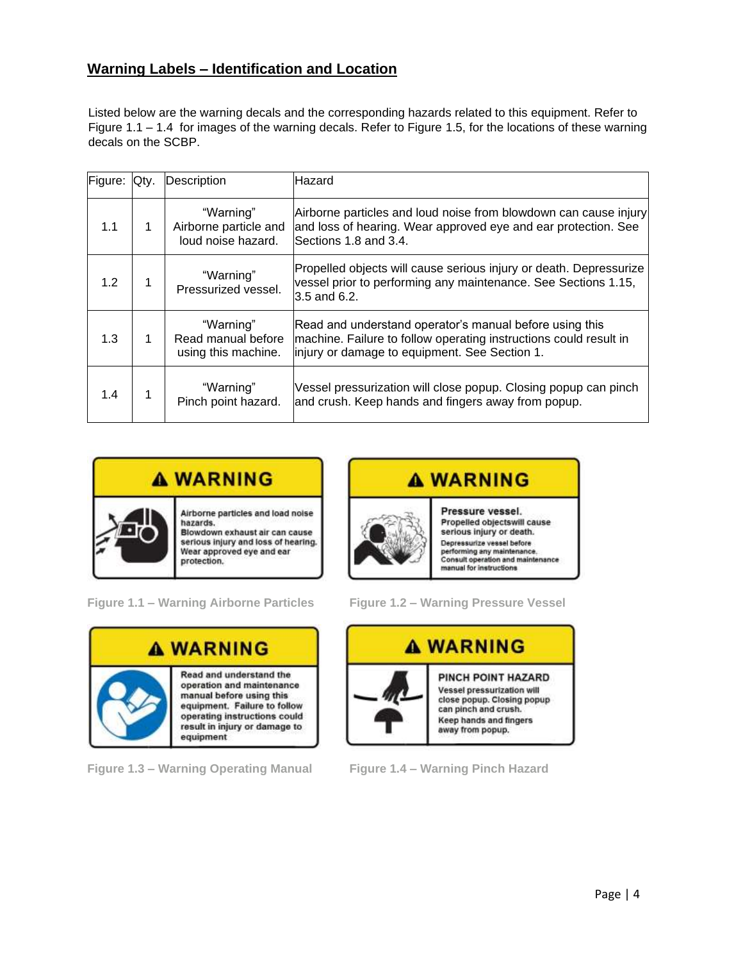#### **Warning Labels – Identification and Location**

Listed below are the warning decals and the corresponding hazards related to this equipment. Refer to Figure 1.1 – 1.4 for images of the warning decals. Refer to Figure 1.5, for the locations of these warning decals on the SCBP.

| Figure: | Qtv. | Description                                              | Hazard                                                                                                                                                                        |
|---------|------|----------------------------------------------------------|-------------------------------------------------------------------------------------------------------------------------------------------------------------------------------|
| 1.1     |      | "Warning"<br>Airborne particle and<br>loud noise hazard. | Airborne particles and loud noise from blowdown can cause injury<br>and loss of hearing. Wear approved eye and ear protection. See<br>Sections 1.8 and 3.4.                   |
| 1.2     |      | "Warning"<br>Pressurized vessel.                         | Propelled objects will cause serious injury or death. Depressurize<br>vessel prior to performing any maintenance. See Sections 1.15,<br>3.5 and 6.2.                          |
| 1.3     |      | "Warning"<br>Read manual before<br>using this machine.   | Read and understand operator's manual before using this<br>machine. Failure to follow operating instructions could result in<br>injury or damage to equipment. See Section 1. |
| 1.4     |      | "Warning"<br>Pinch point hazard.                         | Vessel pressurization will close popup. Closing popup can pinch<br>and crush. Keep hands and fingers away from popup.                                                         |





**Figure 1.3 – Warning Operating Manual Figure 1.4 – Warning Pinch Hazard**



**Figure 1.1 – Warning Airborne Particles Figure 1.2 – Warning Pressure Vessel**

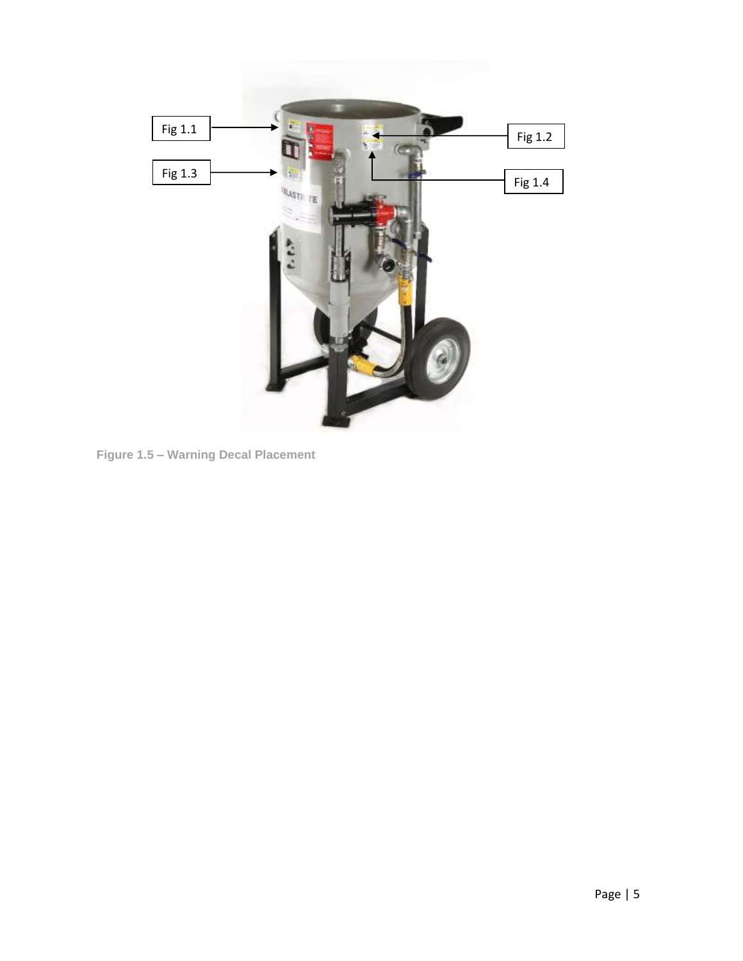

**Figure 1.5 – Warning Decal Placement**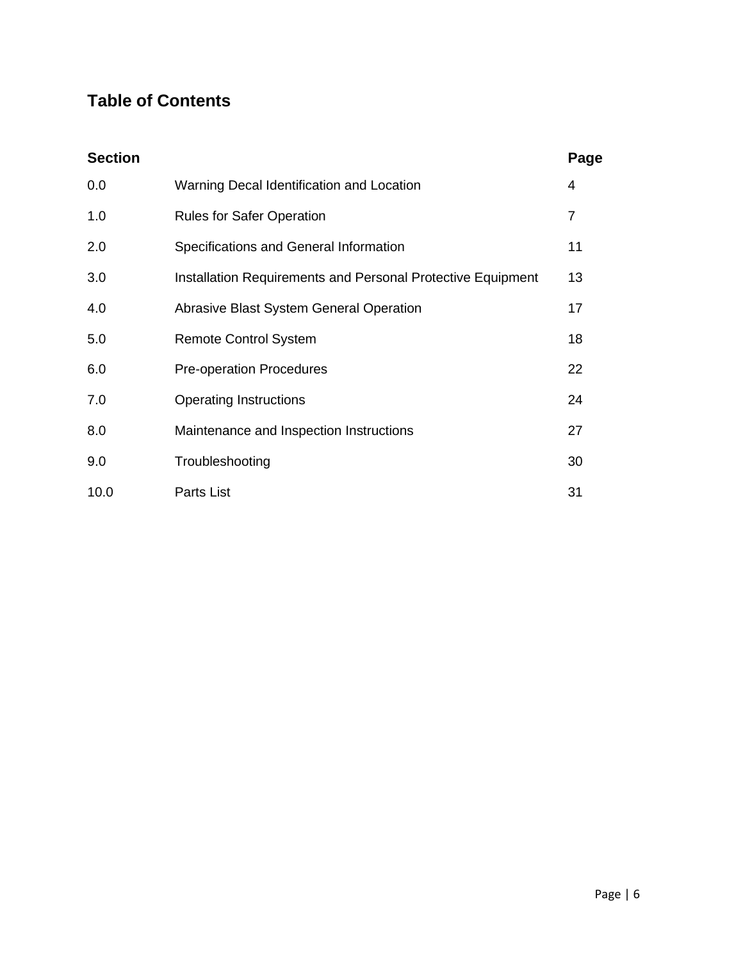## **Table of Contents**

| <b>Section</b> |                                                             | Page |
|----------------|-------------------------------------------------------------|------|
| 0.0            | Warning Decal Identification and Location                   | 4    |
| 1.0            | <b>Rules for Safer Operation</b>                            | 7    |
| 2.0            | Specifications and General Information                      | 11   |
| 3.0            | Installation Requirements and Personal Protective Equipment | 13   |
| 4.0            | Abrasive Blast System General Operation                     | 17   |
| 5.0            | <b>Remote Control System</b>                                | 18   |
| 6.0            | <b>Pre-operation Procedures</b>                             | 22   |
| 7.0            | <b>Operating Instructions</b>                               | 24   |
| 8.0            | Maintenance and Inspection Instructions                     | 27   |
| 9.0            | Troubleshooting                                             | 30   |
| 10.0           | Parts List                                                  | 31   |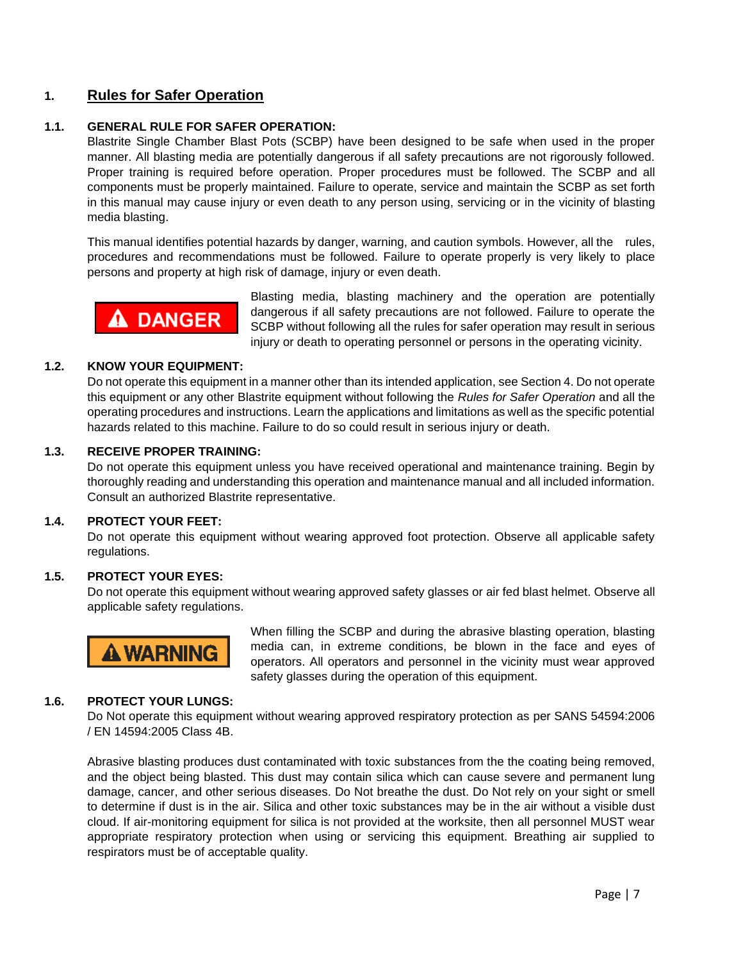#### **1. Rules for Safer Operation**

#### **1.1. GENERAL RULE FOR SAFER OPERATION:**

Blastrite Single Chamber Blast Pots (SCBP) have been designed to be safe when used in the proper manner. All blasting media are potentially dangerous if all safety precautions are not rigorously followed. Proper training is required before operation. Proper procedures must be followed. The SCBP and all components must be properly maintained. Failure to operate, service and maintain the SCBP as set forth in this manual may cause injury or even death to any person using, servicing or in the vicinity of blasting media blasting.

This manual identifies potential hazards by danger, warning, and caution symbols. However, all the rules, procedures and recommendations must be followed. Failure to operate properly is very likely to place persons and property at high risk of damage, injury or even death.



Blasting media, blasting machinery and the operation are potentially dangerous if all safety precautions are not followed. Failure to operate the SCBP without following all the rules for safer operation may result in serious injury or death to operating personnel or persons in the operating vicinity.

#### **1.2. KNOW YOUR EQUIPMENT:**

Do not operate this equipment in a manner other than its intended application, see Section 4. Do not operate this equipment or any other Blastrite equipment without following the *Rules for Safer Operation* and all the operating procedures and instructions. Learn the applications and limitations as well as the specific potential hazards related to this machine. Failure to do so could result in serious injury or death.

#### **1.3. RECEIVE PROPER TRAINING:**

Do not operate this equipment unless you have received operational and maintenance training. Begin by thoroughly reading and understanding this operation and maintenance manual and all included information. Consult an authorized Blastrite representative.

#### **1.4. PROTECT YOUR FEET:**

Do not operate this equipment without wearing approved foot protection. Observe all applicable safety regulations.

#### **1.5. PROTECT YOUR EYES:**

Do not operate this equipment without wearing approved safety glasses or air fed blast helmet. Observe all applicable safety regulations.



When filling the SCBP and during the abrasive blasting operation, blasting media can, in extreme conditions, be blown in the face and eyes of operators. All operators and personnel in the vicinity must wear approved safety glasses during the operation of this equipment.

#### **1.6. PROTECT YOUR LUNGS:**

Do Not operate this equipment without wearing approved respiratory protection as per SANS 54594:2006 / EN 14594:2005 Class 4B.

Abrasive blasting produces dust contaminated with toxic substances from the the coating being removed, and the object being blasted. This dust may contain silica which can cause severe and permanent lung damage, cancer, and other serious diseases. Do Not breathe the dust. Do Not rely on your sight or smell to determine if dust is in the air. Silica and other toxic substances may be in the air without a visible dust cloud. If air-monitoring equipment for silica is not provided at the worksite, then all personnel MUST wear appropriate respiratory protection when using or servicing this equipment. Breathing air supplied to respirators must be of acceptable quality.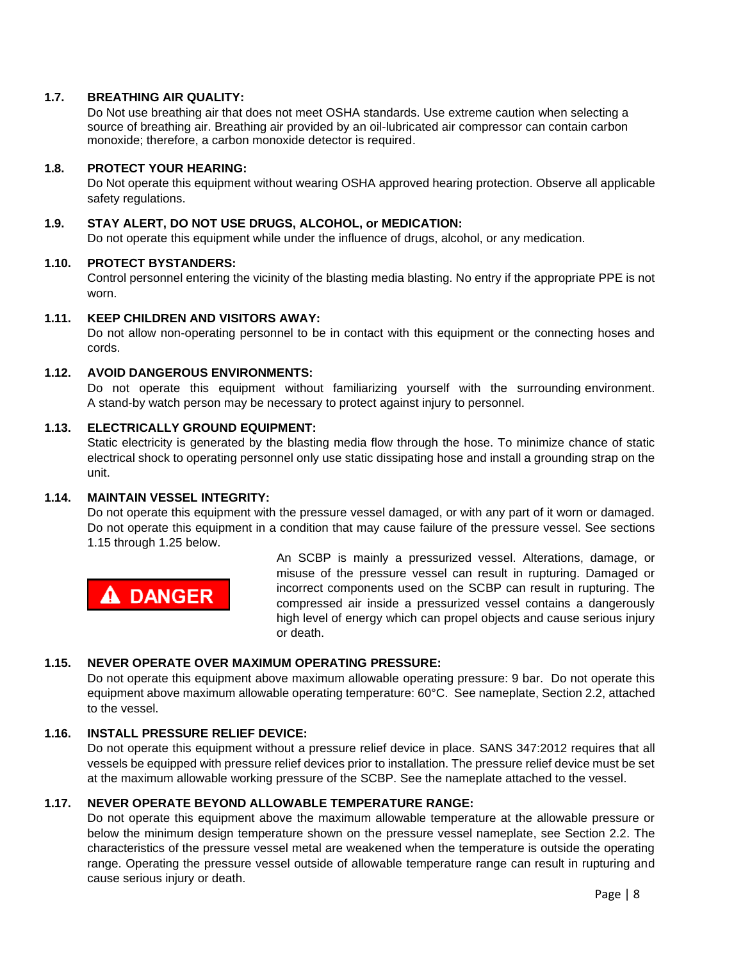#### **1.7. BREATHING AIR QUALITY:**

Do Not use breathing air that does not meet OSHA standards. Use extreme caution when selecting a source of breathing air. Breathing air provided by an oil-lubricated air compressor can contain carbon monoxide; therefore, a carbon monoxide detector is required.

#### **1.8. PROTECT YOUR HEARING:**

Do Not operate this equipment without wearing OSHA approved hearing protection. Observe all applicable safety regulations.

#### **1.9. STAY ALERT, DO NOT USE DRUGS, ALCOHOL, or MEDICATION:**

Do not operate this equipment while under the influence of drugs, alcohol, or any medication.

#### **1.10. PROTECT BYSTANDERS:**

Control personnel entering the vicinity of the blasting media blasting. No entry if the appropriate PPE is not worn.

#### **1.11. KEEP CHILDREN AND VISITORS AWAY:**

Do not allow non-operating personnel to be in contact with this equipment or the connecting hoses and cords.

#### **1.12. AVOID DANGEROUS ENVIRONMENTS:**

Do not operate this equipment without familiarizing yourself with the surrounding environment. A stand-by watch person may be necessary to protect against injury to personnel.

#### **1.13. ELECTRICALLY GROUND EQUIPMENT:**

Static electricity is generated by the blasting media flow through the hose. To minimize chance of static electrical shock to operating personnel only use static dissipating hose and install a grounding strap on the unit.

#### **1.14. MAINTAIN VESSEL INTEGRITY:**

Do not operate this equipment with the pressure vessel damaged, or with any part of it worn or damaged. Do not operate this equipment in a condition that may cause failure of the pressure vessel. See sections 1.15 through 1.25 below.

**A DANGER** 

An SCBP is mainly a pressurized vessel. Alterations, damage, or misuse of the pressure vessel can result in rupturing. Damaged or incorrect components used on the SCBP can result in rupturing. The compressed air inside a pressurized vessel contains a dangerously high level of energy which can propel objects and cause serious injury or death.

#### **1.15. NEVER OPERATE OVER MAXIMUM OPERATING PRESSURE:**

Do not operate this equipment above maximum allowable operating pressure: 9 bar. Do not operate this equipment above maximum allowable operating temperature: 60°C. See nameplate, Section 2.2, attached to the vessel.

#### **1.16. INSTALL PRESSURE RELIEF DEVICE:**

Do not operate this equipment without a pressure relief device in place. SANS 347:2012 requires that all vessels be equipped with pressure relief devices prior to installation. The pressure relief device must be set at the maximum allowable working pressure of the SCBP. See the nameplate attached to the vessel.

#### **1.17. NEVER OPERATE BEYOND ALLOWABLE TEMPERATURE RANGE:**

Do not operate this equipment above the maximum allowable temperature at the allowable pressure or below the minimum design temperature shown on the pressure vessel nameplate, see Section 2.2. The characteristics of the pressure vessel metal are weakened when the temperature is outside the operating range. Operating the pressure vessel outside of allowable temperature range can result in rupturing and cause serious injury or death.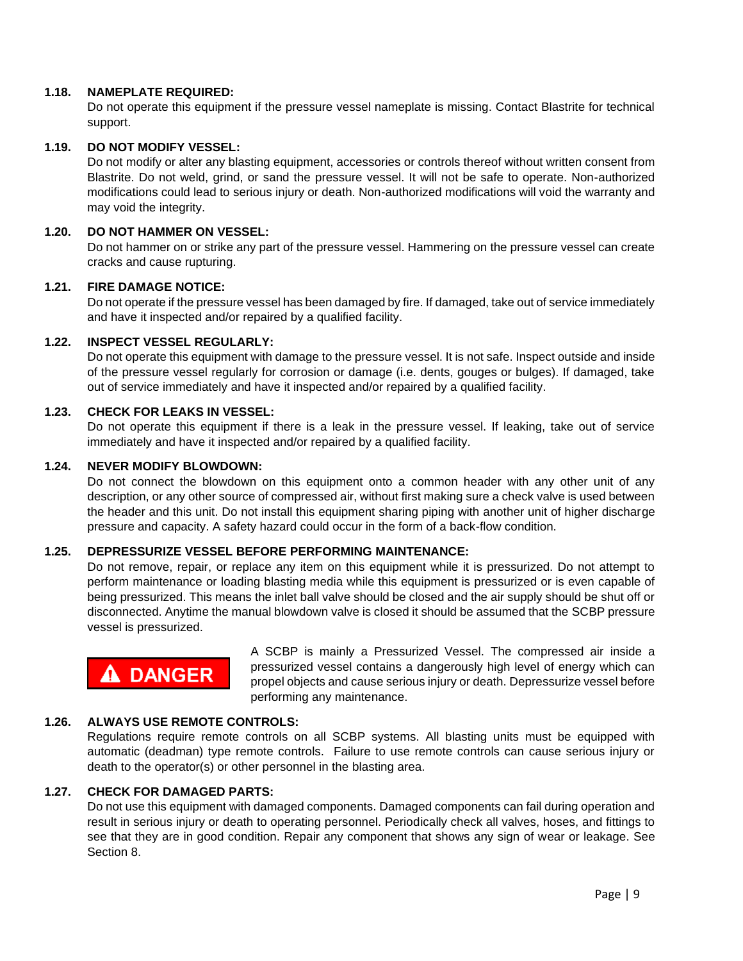#### **1.18. NAMEPLATE REQUIRED:**

Do not operate this equipment if the pressure vessel nameplate is missing. Contact Blastrite for technical support.

#### **1.19. DO NOT MODIFY VESSEL:**

Do not modify or alter any blasting equipment, accessories or controls thereof without written consent from Blastrite. Do not weld, grind, or sand the pressure vessel. It will not be safe to operate. Non-authorized modifications could lead to serious injury or death. Non-authorized modifications will void the warranty and may void the integrity.

#### **1.20. DO NOT HAMMER ON VESSEL:**

Do not hammer on or strike any part of the pressure vessel. Hammering on the pressure vessel can create cracks and cause rupturing.

#### **1.21. FIRE DAMAGE NOTICE:**

Do not operate if the pressure vessel has been damaged by fire. If damaged, take out of service immediately and have it inspected and/or repaired by a qualified facility.

#### **1.22. INSPECT VESSEL REGULARLY:**

Do not operate this equipment with damage to the pressure vessel. It is not safe. Inspect outside and inside of the pressure vessel regularly for corrosion or damage (i.e. dents, gouges or bulges). If damaged, take out of service immediately and have it inspected and/or repaired by a qualified facility.

#### **1.23. CHECK FOR LEAKS IN VESSEL:**

Do not operate this equipment if there is a leak in the pressure vessel. If leaking, take out of service immediately and have it inspected and/or repaired by a qualified facility.

#### **1.24. NEVER MODIFY BLOWDOWN:**

Do not connect the blowdown on this equipment onto a common header with any other unit of any description, or any other source of compressed air, without first making sure a check valve is used between the header and this unit. Do not install this equipment sharing piping with another unit of higher discharge pressure and capacity. A safety hazard could occur in the form of a back-flow condition.

#### **1.25. DEPRESSURIZE VESSEL BEFORE PERFORMING MAINTENANCE:**

Do not remove, repair, or replace any item on this equipment while it is pressurized. Do not attempt to perform maintenance or loading blasting media while this equipment is pressurized or is even capable of being pressurized. This means the inlet ball valve should be closed and the air supply should be shut off or disconnected. Anytime the manual blowdown valve is closed it should be assumed that the SCBP pressure vessel is pressurized.

# $\mathbf A$  DANGER

A SCBP is mainly a Pressurized Vessel. The compressed air inside a pressurized vessel contains a dangerously high level of energy which can propel objects and cause serious injury or death. Depressurize vessel before performing any maintenance.

#### **1.26. ALWAYS USE REMOTE CONTROLS:**

Regulations require remote controls on all SCBP systems. All blasting units must be equipped with automatic (deadman) type remote controls. Failure to use remote controls can cause serious injury or death to the operator(s) or other personnel in the blasting area.

#### **1.27. CHECK FOR DAMAGED PARTS:**

Do not use this equipment with damaged components. Damaged components can fail during operation and result in serious injury or death to operating personnel. Periodically check all valves, hoses, and fittings to see that they are in good condition. Repair any component that shows any sign of wear or leakage. See Section 8.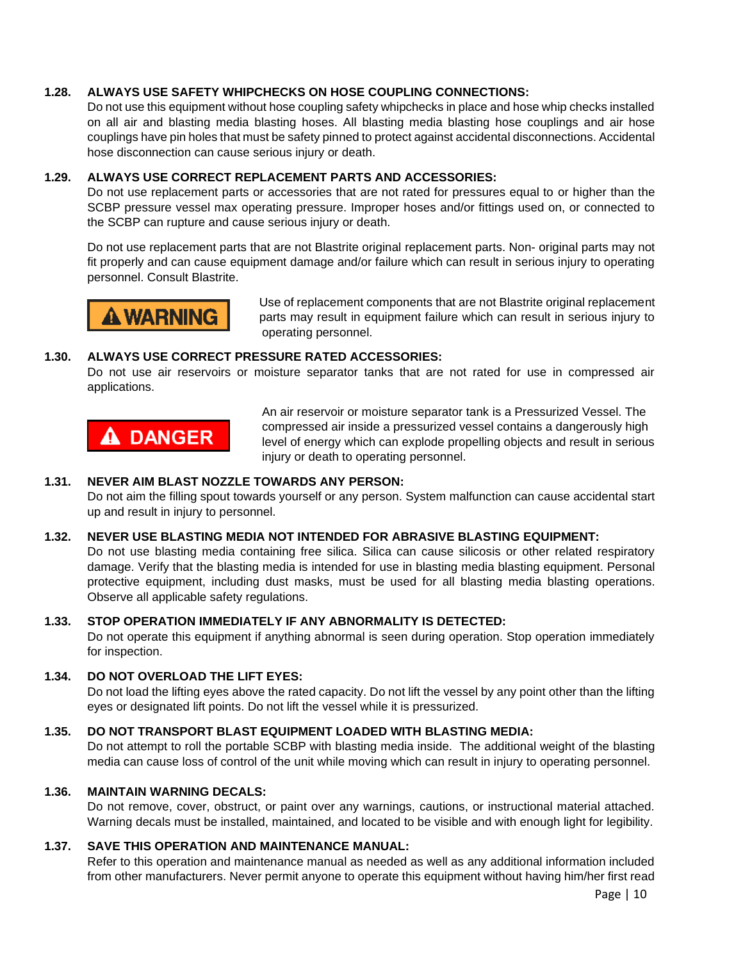#### **1.28. ALWAYS USE SAFETY WHIPCHECKS ON HOSE COUPLING CONNECTIONS:**

Do not use this equipment without hose coupling safety whipchecks in place and hose whip checks installed on all air and blasting media blasting hoses. All blasting media blasting hose couplings and air hose couplings have pin holes that must be safety pinned to protect against accidental disconnections. Accidental hose disconnection can cause serious injury or death.

#### **1.29. ALWAYS USE CORRECT REPLACEMENT PARTS AND ACCESSORIES:**

Do not use replacement parts or accessories that are not rated for pressures equal to or higher than the SCBP pressure vessel max operating pressure. Improper hoses and/or fittings used on, or connected to the SCBP can rupture and cause serious injury or death.

Do not use replacement parts that are not Blastrite original replacement parts. Non- original parts may not fit properly and can cause equipment damage and/or failure which can result in serious injury to operating personnel. Consult Blastrite.



Use of replacement components that are not Blastrite original replacement parts may result in equipment failure which can result in serious injury to operating personnel.

#### **1.30. ALWAYS USE CORRECT PRESSURE RATED ACCESSORIES:**

Do not use air reservoirs or moisture separator tanks that are not rated for use in compressed air applications.



An air reservoir or moisture separator tank is a Pressurized Vessel. The compressed air inside a pressurized vessel contains a dangerously high level of energy which can explode propelling objects and result in serious injury or death to operating personnel.

#### **1.31. NEVER AIM BLAST NOZZLE TOWARDS ANY PERSON:**

Do not aim the filling spout towards yourself or any person. System malfunction can cause accidental start up and result in injury to personnel.

#### **1.32. NEVER USE BLASTING MEDIA NOT INTENDED FOR ABRASIVE BLASTING EQUIPMENT:**

Do not use blasting media containing free silica. Silica can cause silicosis or other related respiratory damage. Verify that the blasting media is intended for use in blasting media blasting equipment. Personal protective equipment, including dust masks, must be used for all blasting media blasting operations. Observe all applicable safety regulations.

#### **1.33. STOP OPERATION IMMEDIATELY IF ANY ABNORMALITY IS DETECTED:**

Do not operate this equipment if anything abnormal is seen during operation. Stop operation immediately for inspection.

#### **1.34. DO NOT OVERLOAD THE LIFT EYES:**

Do not load the lifting eyes above the rated capacity. Do not lift the vessel by any point other than the lifting eyes or designated lift points. Do not lift the vessel while it is pressurized.

#### **1.35. DO NOT TRANSPORT BLAST EQUIPMENT LOADED WITH BLASTING MEDIA:**

Do not attempt to roll the portable SCBP with blasting media inside. The additional weight of the blasting media can cause loss of control of the unit while moving which can result in injury to operating personnel.

#### **1.36. MAINTAIN WARNING DECALS:**

Do not remove, cover, obstruct, or paint over any warnings, cautions, or instructional material attached. Warning decals must be installed, maintained, and located to be visible and with enough light for legibility.

#### **1.37. SAVE THIS OPERATION AND MAINTENANCE MANUAL:**

Refer to this operation and maintenance manual as needed as well as any additional information included from other manufacturers. Never permit anyone to operate this equipment without having him/her first read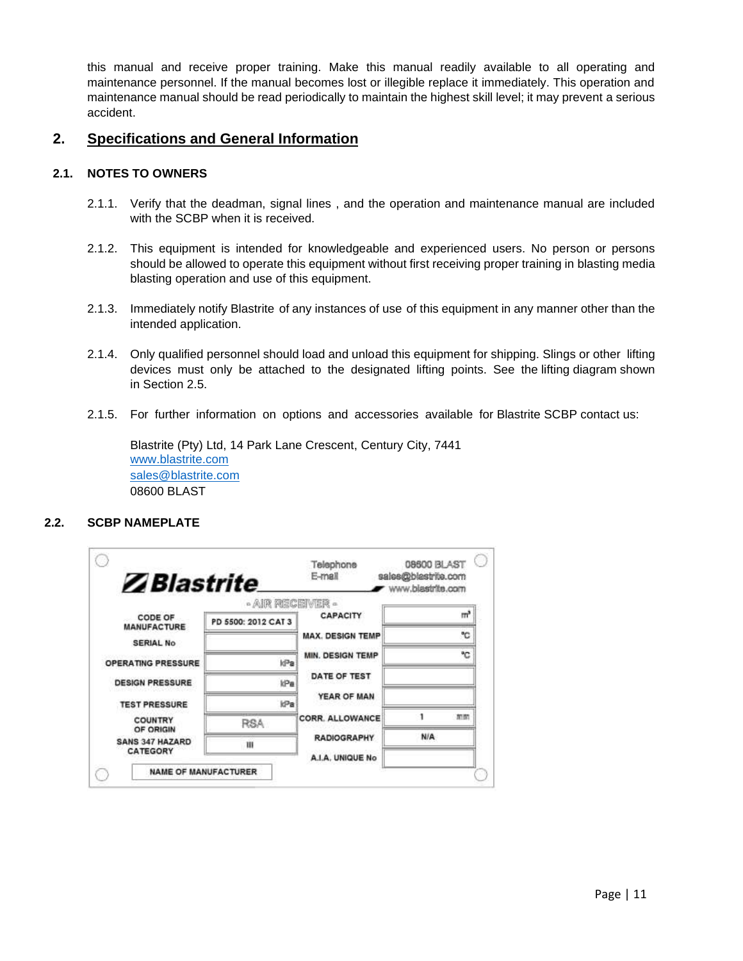this manual and receive proper training. Make this manual readily available to all operating and maintenance personnel. If the manual becomes lost or illegible replace it immediately. This operation and maintenance manual should be read periodically to maintain the highest skill level; it may prevent a serious accident.

#### **2. Specifications and General Information**

#### **2.1. NOTES TO OWNERS**

- 2.1.1. Verify that the deadman, signal lines , and the operation and maintenance manual are included with the SCBP when it is received.
- 2.1.2. This equipment is intended for knowledgeable and experienced users. No person or persons should be allowed to operate this equipment without first receiving proper training in blasting media blasting operation and use of this equipment.
- 2.1.3. Immediately notify Blastrite of any instances of use of this equipment in any manner other than the intended application.
- 2.1.4. Only qualified personnel should load and unload this equipment for shipping. Slings or other lifting devices must only be attached to the designated lifting points. See the lifting diagram shown in Section 2.5.
- 2.1.5. For further information on options and accessories available for Blastrite SCBP contact us:

Blastrite (Pty) Ltd, 14 Park Lane Crescent, Century City, 7441 [www.blastrite.com](http://www.blastrite.com/) [sales@blastrite.com](mailto:sales@blastrite.com) 08600 BLAST

#### **2.2. SCBP NAMEPLATE**

| <b>Z</b> Blastrite            |                                         | E-mail                                 | sales@blastrite.com<br>www.blastrite.com |
|-------------------------------|-----------------------------------------|----------------------------------------|------------------------------------------|
| CODE OF<br><b>MANUFACTURE</b> | - AIR RECEIVER -<br>PD 5500: 2012 CAT 3 | <b>CAPACITY</b>                        | m                                        |
| <b>SERIAL No</b>              |                                         | <b>MAX. DESIGN TEMP</b>                | ۹C                                       |
| OPERATING PRESSURE            | ld <sup>3</sup> a                       | MIN. DESIGN TEMP                       | ۹Ċ                                       |
| <b>DESIGN PRESSURE</b>        | kPa                                     | DATE OF TEST                           |                                          |
| <b>TEST PRESSURE</b>          | id <sup>2</sup> a                       | YEAR OF MAN                            |                                          |
| COUNTRY<br>OF ORIGIN          | <b>RSA</b>                              | <b>CORR. ALLOWANCE</b>                 | 加加                                       |
| SANS 347 HAZARD<br>CATEGORY   | Ш                                       | <b>RADIOGRAPHY</b><br>A.I.A. UNIQUE No | N/A                                      |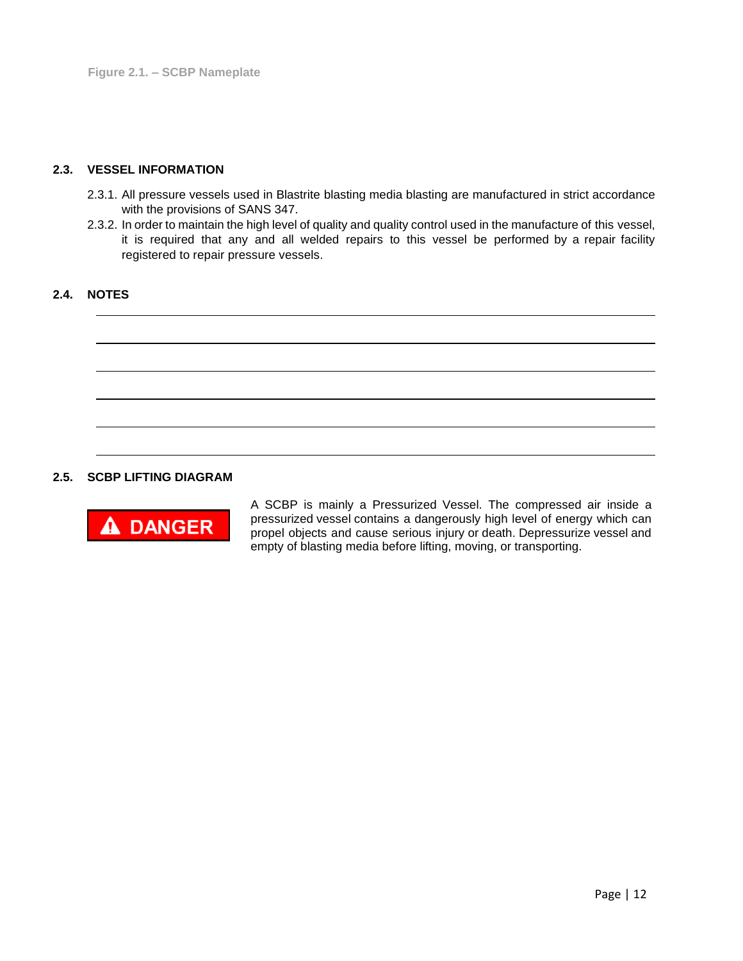#### **2.3. VESSEL INFORMATION**

- 2.3.1. All pressure vessels used in Blastrite blasting media blasting are manufactured in strict accordance with the provisions of SANS 347.
- 2.3.2. In order to maintain the high level of quality and quality control used in the manufacture of this vessel, it is required that any and all welded repairs to this vessel be performed by a repair facility registered to repair pressure vessels.

#### **2.4. NOTES**



#### **2.5. SCBP LIFTING DIAGRAM**



A SCBP is mainly a Pressurized Vessel. The compressed air inside a pressurized vessel contains a dangerously high level of energy which can propel objects and cause serious injury or death. Depressurize vessel and empty of blasting media before lifting, moving, or transporting.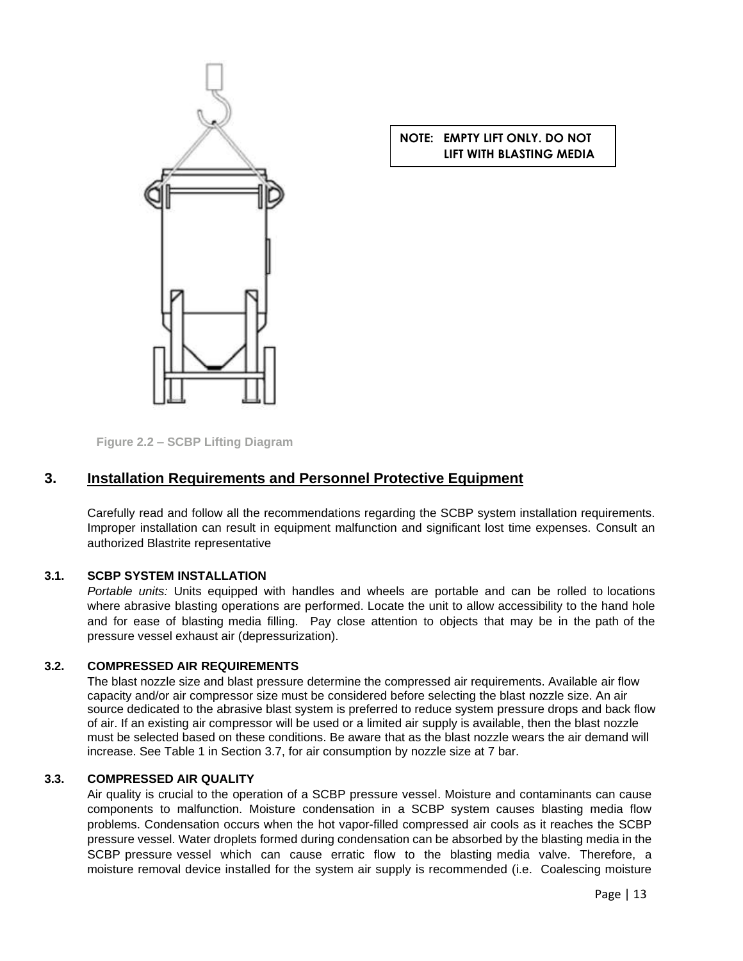

#### **NOTE: EMPTY LIFT ONLY. DO NOT LIFT WITH BLASTING MEDIA**

**Figure 2.2 – SCBP Lifting Diagram**

#### **3. Installation Requirements and Personnel Protective Equipment**

Carefully read and follow all the recommendations regarding the SCBP system installation requirements. Improper installation can result in equipment malfunction and significant lost time expenses. Consult an authorized Blastrite representative

#### **3.1. SCBP SYSTEM INSTALLATION**

*Portable units:* Units equipped with handles and wheels are portable and can be rolled to locations where abrasive blasting operations are performed. Locate the unit to allow accessibility to the hand hole and for ease of blasting media filling. Pay close attention to objects that may be in the path of the pressure vessel exhaust air (depressurization).

#### **3.2. COMPRESSED AIR REQUIREMENTS**

The blast nozzle size and blast pressure determine the compressed air requirements. Available air flow capacity and/or air compressor size must be considered before selecting the blast nozzle size. An air source dedicated to the abrasive blast system is preferred to reduce system pressure drops and back flow of air. If an existing air compressor will be used or a limited air supply is available, then the blast nozzle must be selected based on these conditions. Be aware that as the blast nozzle wears the air demand will increase. See Table 1 in Section 3.7, for air consumption by nozzle size at 7 bar.

#### **3.3. COMPRESSED AIR QUALITY**

Air quality is crucial to the operation of a SCBP pressure vessel. Moisture and contaminants can cause components to malfunction. Moisture condensation in a SCBP system causes blasting media flow problems. Condensation occurs when the hot vapor-filled compressed air cools as it reaches the SCBP pressure vessel. Water droplets formed during condensation can be absorbed by the blasting media in the SCBP pressure vessel which can cause erratic flow to the blasting media valve. Therefore, a moisture removal device installed for the system air supply is recommended (i.e. Coalescing moisture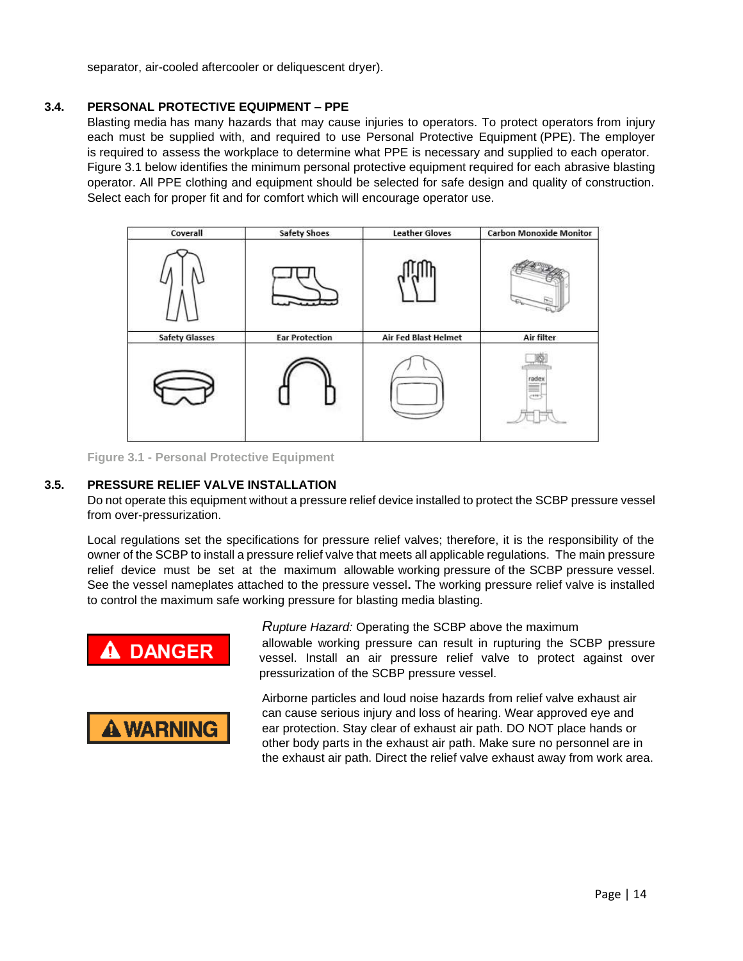separator, air-cooled aftercooler or deliquescent dryer).

#### **3.4. PERSONAL PROTECTIVE EQUIPMENT – PPE**

Blasting media has many hazards that may cause injuries to operators. To protect operators from injury each must be supplied with, and required to use Personal Protective Equipment (PPE). The employer is required to assess the workplace to determine what PPE is necessary and supplied to each operator. Figure 3.1 below identifies the minimum personal protective equipment required for each abrasive blasting operator. All PPE clothing and equipment should be selected for safe design and quality of construction. Select each for proper fit and for comfort which will encourage operator use.



**Figure 3.1 - Personal Protective Equipment**

#### **3.5. PRESSURE RELIEF VALVE INSTALLATION**

Do not operate this equipment without a pressure relief device installed to protect the SCBP pressure vessel from over-pressurization.

Local regulations set the specifications for pressure relief valves; therefore, it is the responsibility of the owner of the SCBP to install a pressure relief valve that meets all applicable regulations. The main pressure relief device must be set at the maximum allowable working pressure of the SCBP pressure vessel. See the vessel nameplates attached to the pressure vessel**.** The working pressure relief valve is installed to control the maximum safe working pressure for blasting media blasting.

pressurization of the SCBP pressure vessel.



*Rupture Hazard:* Operating the SCBP above the maximum allowable working pressure can result in rupturing the SCBP pressure vessel. Install an air pressure relief valve to protect against over

Airborne particles and loud noise hazards from relief valve exhaust air can cause serious injury and loss of hearing. Wear approved eye and ear protection. Stay clear of exhaust air path. DO NOT place hands or other body parts in the exhaust air path. Make sure no personnel are in the exhaust air path. Direct the relief valve exhaust away from work area.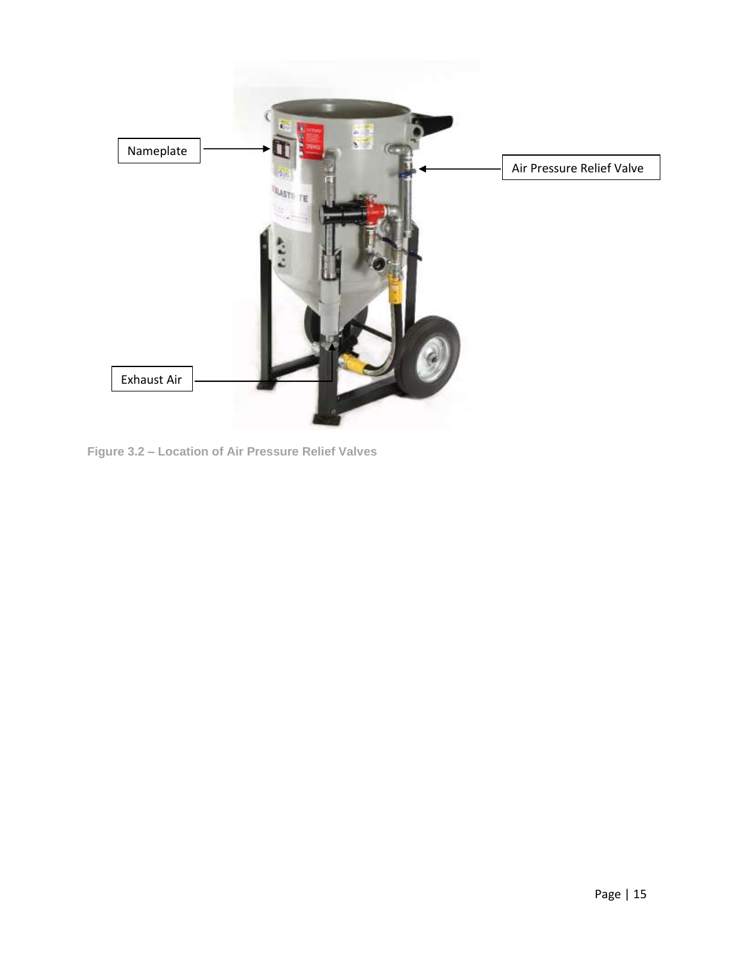

**Figure 3.2 – Location of Air Pressure Relief Valves**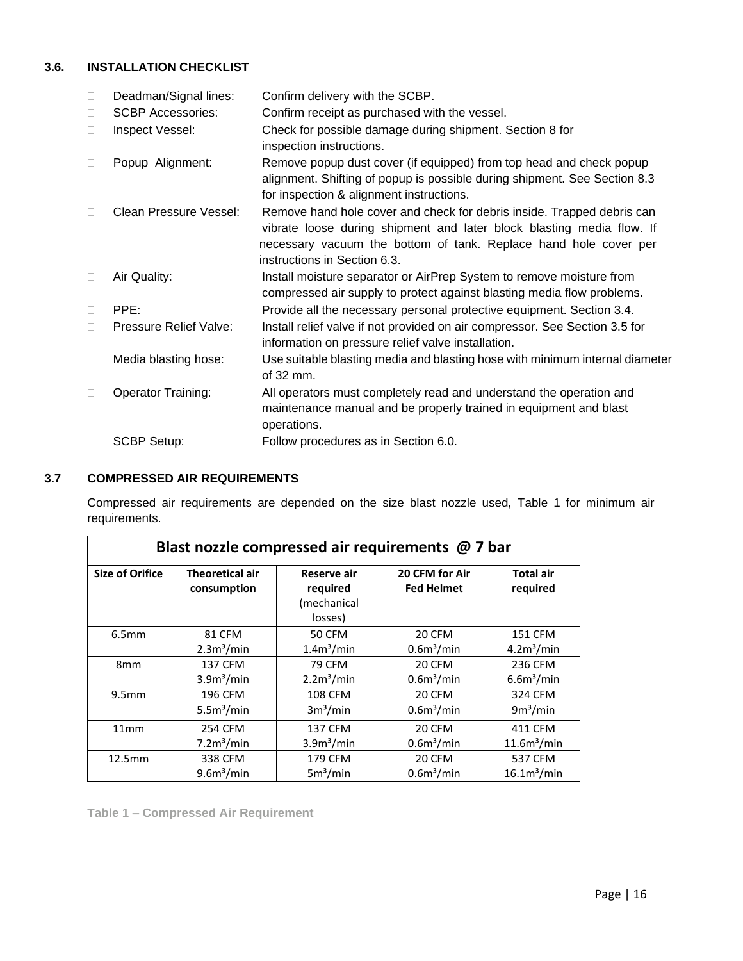#### **3.6. INSTALLATION CHECKLIST**

| $\Box$ | Deadman/Signal lines:     | Confirm delivery with the SCBP.                                                                                                                                                                                                                     |
|--------|---------------------------|-----------------------------------------------------------------------------------------------------------------------------------------------------------------------------------------------------------------------------------------------------|
| $\Box$ | <b>SCBP Accessories:</b>  | Confirm receipt as purchased with the vessel.                                                                                                                                                                                                       |
| П      | Inspect Vessel:           | Check for possible damage during shipment. Section 8 for<br>inspection instructions.                                                                                                                                                                |
|        | Popup Alignment:          | Remove popup dust cover (if equipped) from top head and check popup<br>alignment. Shifting of popup is possible during shipment. See Section 8.3<br>for inspection & alignment instructions.                                                        |
|        | Clean Pressure Vessel:    | Remove hand hole cover and check for debris inside. Trapped debris can<br>vibrate loose during shipment and later block blasting media flow. If<br>necessary vacuum the bottom of tank. Replace hand hole cover per<br>instructions in Section 6.3. |
| $\Box$ | Air Quality:              | Install moisture separator or AirPrep System to remove moisture from<br>compressed air supply to protect against blasting media flow problems.                                                                                                      |
|        | PPE:                      | Provide all the necessary personal protective equipment. Section 3.4.                                                                                                                                                                               |
|        | Pressure Relief Valve:    | Install relief valve if not provided on air compressor. See Section 3.5 for<br>information on pressure relief valve installation.                                                                                                                   |
| $\Box$ | Media blasting hose:      | Use suitable blasting media and blasting hose with minimum internal diameter<br>of 32 mm.                                                                                                                                                           |
| П      | <b>Operator Training:</b> | All operators must completely read and understand the operation and<br>maintenance manual and be properly trained in equipment and blast<br>operations.                                                                                             |
| $\Box$ | <b>SCBP Setup:</b>        | Follow procedures as in Section 6.0.                                                                                                                                                                                                                |

#### **3.7 COMPRESSED AIR REQUIREMENTS**

Compressed air requirements are depended on the size blast nozzle used, Table 1 for minimum air requirements.

| Blast nozzle compressed air requirements @ 7 bar |                                       |                                                   |                                     |                              |  |  |  |  |  |  |  |
|--------------------------------------------------|---------------------------------------|---------------------------------------------------|-------------------------------------|------------------------------|--|--|--|--|--|--|--|
| <b>Size of Orifice</b>                           | <b>Theoretical air</b><br>consumption | Reserve air<br>required<br>(mechanical<br>losses) | 20 CFM for Air<br><b>Fed Helmet</b> | <b>Total air</b><br>required |  |  |  |  |  |  |  |
| 6.5mm                                            | 81 CFM                                | 50 CFM                                            | 20 CFM                              | <b>151 CFM</b>               |  |  |  |  |  |  |  |
|                                                  | 2.3m <sup>3</sup> /min                | 1.4m <sup>3</sup> /min                            | 0.6 <sup>m3</sup> /min              | 4.2m <sup>3</sup> /min       |  |  |  |  |  |  |  |
| 8 <sub>mm</sub>                                  | 137 CFM                               | <b>79 CFM</b>                                     | 20 CFM                              | 236 CFM                      |  |  |  |  |  |  |  |
|                                                  | 3.9 <sup>3</sup> /min                 | 2.2m <sup>3</sup> /min                            | 0.6 <sup>3</sup> /min               | 6.6m <sup>3</sup> /min       |  |  |  |  |  |  |  |
| 9.5 <sub>mm</sub>                                | 196 CFM                               | <b>108 CFM</b>                                    | <b>20 CFM</b>                       | 324 CFM                      |  |  |  |  |  |  |  |
|                                                  | 5.5m <sup>3</sup> /min                | 3m <sup>3</sup> /min                              | 0.6 <sup>m3</sup> /min              | 9m <sup>3</sup> /min         |  |  |  |  |  |  |  |
| 11mm                                             | 254 CFM                               | 137 CFM                                           | 20 CFM                              | 411 CFM                      |  |  |  |  |  |  |  |
|                                                  | 7.2m <sup>3</sup> /min                | 3.9 <sup>3</sup> /min                             | 0.6 <sup>3</sup> /min               | 11.6m <sup>3</sup> /min      |  |  |  |  |  |  |  |
| 12.5mm                                           | 338 CFM                               | 179 CFM                                           | 20 CFM                              | 537 CFM                      |  |  |  |  |  |  |  |
|                                                  | 9.6m <sup>3</sup> /min                | 5m <sup>3</sup> /min                              | 0.6 <sup>3</sup> /min               | 16.1 <sup>3</sup> /min       |  |  |  |  |  |  |  |

**Table 1 – Compressed Air Requirement**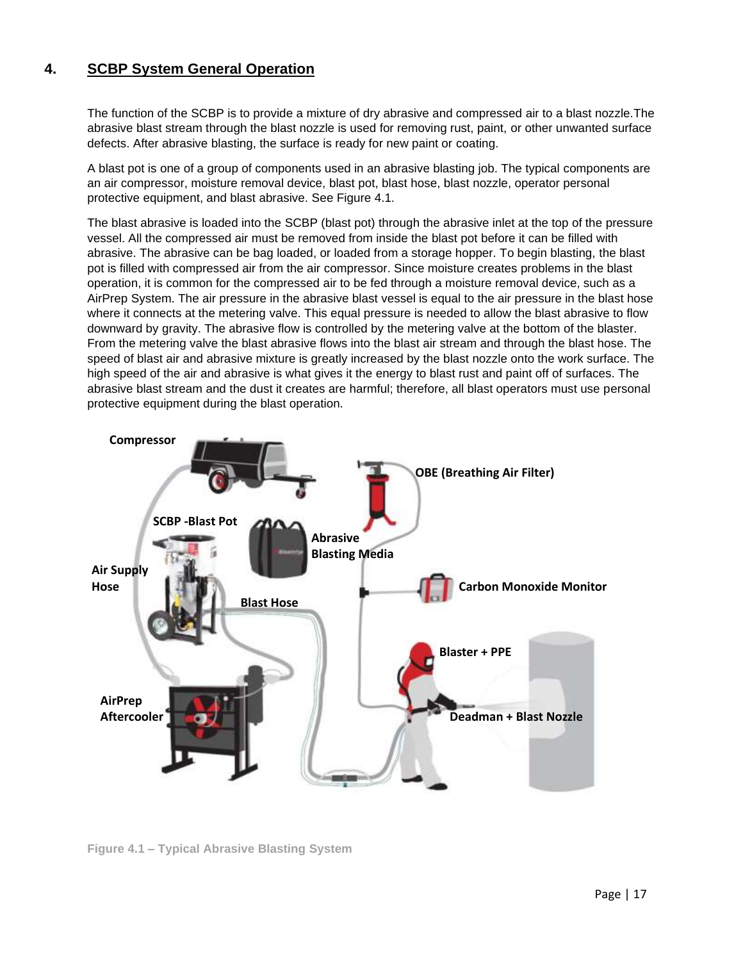### **4. SCBP System General Operation**

The function of the SCBP is to provide a mixture of dry abrasive and compressed air to a blast nozzle.The abrasive blast stream through the blast nozzle is used for removing rust, paint, or other unwanted surface defects. After abrasive blasting, the surface is ready for new paint or coating.

A blast pot is one of a group of components used in an abrasive blasting job. The typical components are an air compressor, moisture removal device, blast pot, blast hose, blast nozzle, operator personal protective equipment, and blast abrasive. See Figure 4.1.

The blast abrasive is loaded into the SCBP (blast pot) through the abrasive inlet at the top of the pressure vessel. All the compressed air must be removed from inside the blast pot before it can be filled with abrasive. The abrasive can be bag loaded, or loaded from a storage hopper. To begin blasting, the blast pot is filled with compressed air from the air compressor. Since moisture creates problems in the blast operation, it is common for the compressed air to be fed through a moisture removal device, such as a AirPrep System. The air pressure in the abrasive blast vessel is equal to the air pressure in the blast hose where it connects at the metering valve. This equal pressure is needed to allow the blast abrasive to flow downward by gravity. The abrasive flow is controlled by the metering valve at the bottom of the blaster. From the metering valve the blast abrasive flows into the blast air stream and through the blast hose. The speed of blast air and abrasive mixture is greatly increased by the blast nozzle onto the work surface. The high speed of the air and abrasive is what gives it the energy to blast rust and paint off of surfaces. The abrasive blast stream and the dust it creates are harmful; therefore, all blast operators must use personal protective equipment during the blast operation.



**Figure 4.1 – Typical Abrasive Blasting System**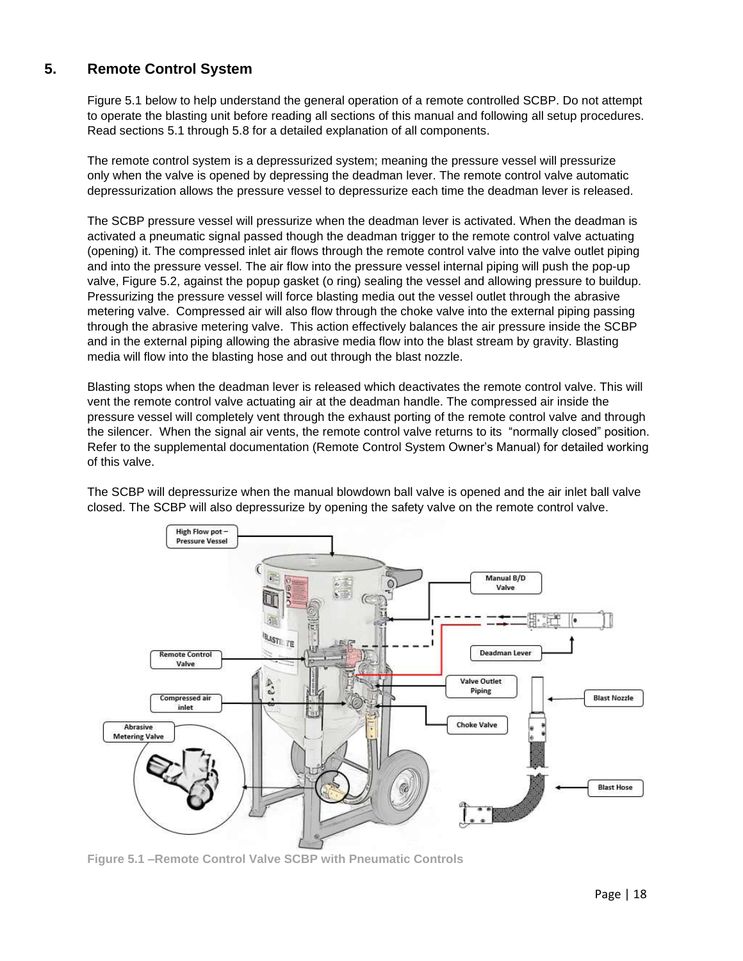#### **5. Remote Control System**

Figure 5.1 below to help understand the general operation of a remote controlled SCBP. Do not attempt to operate the blasting unit before reading all sections of this manual and following all setup procedures. Read sections 5.1 through 5.8 for a detailed explanation of all components.

The remote control system is a depressurized system; meaning the pressure vessel will pressurize only when the valve is opened by depressing the deadman lever. The remote control valve automatic depressurization allows the pressure vessel to depressurize each time the deadman lever is released.

The SCBP pressure vessel will pressurize when the deadman lever is activated. When the deadman is activated a pneumatic signal passed though the deadman trigger to the remote control valve actuating (opening) it. The compressed inlet air flows through the remote control valve into the valve outlet piping and into the pressure vessel. The air flow into the pressure vessel internal piping will push the pop-up valve, Figure 5.2, against the popup gasket (o ring) sealing the vessel and allowing pressure to buildup. Pressurizing the pressure vessel will force blasting media out the vessel outlet through the abrasive metering valve. Compressed air will also flow through the choke valve into the external piping passing through the abrasive metering valve. This action effectively balances the air pressure inside the SCBP and in the external piping allowing the abrasive media flow into the blast stream by gravity. Blasting media will flow into the blasting hose and out through the blast nozzle.

Blasting stops when the deadman lever is released which deactivates the remote control valve. This will vent the remote control valve actuating air at the deadman handle. The compressed air inside the pressure vessel will completely vent through the exhaust porting of the remote control valve and through the silencer. When the signal air vents, the remote control valve returns to its "normally closed" position. Refer to the supplemental documentation (Remote Control System Owner's Manual) for detailed working of this valve.

The SCBP will depressurize when the manual blowdown ball valve is opened and the air inlet ball valve closed. The SCBP will also depressurize by opening the safety valve on the remote control valve.



**Figure 5.1 –Remote Control Valve SCBP with Pneumatic Controls**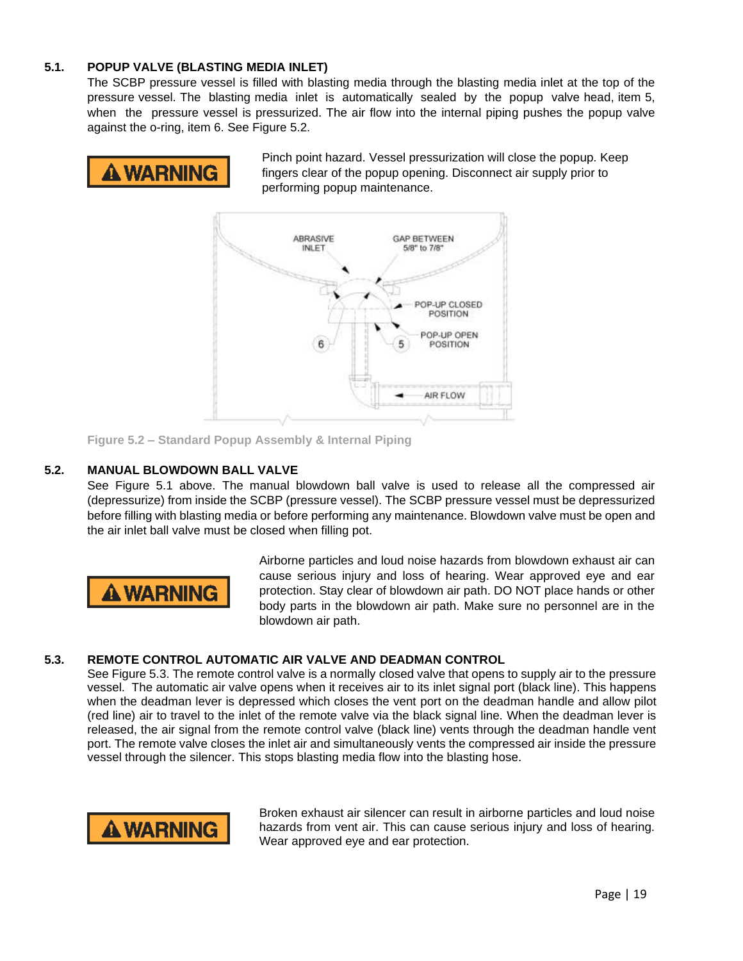#### **5.1. POPUP VALVE (BLASTING MEDIA INLET)**

The SCBP pressure vessel is filled with blasting media through the blasting media inlet at the top of the pressure vessel. The blasting media inlet is automatically sealed by the popup valve head, item 5, when the pressure vessel is pressurized. The air flow into the internal piping pushes the popup valve against the o-ring, item 6. See Figure 5.2.



Pinch point hazard. Vessel pressurization will close the popup. Keep fingers clear of the popup opening. Disconnect air supply prior to performing popup maintenance.



**Figure 5.2 – Standard Popup Assembly & Internal Piping**

#### **5.2. MANUAL BLOWDOWN BALL VALVE**

See Figure 5.1 above. The manual blowdown ball valve is used to release all the compressed air (depressurize) from inside the SCBP (pressure vessel). The SCBP pressure vessel must be depressurized before filling with blasting media or before performing any maintenance. Blowdown valve must be open and the air inlet ball valve must be closed when filling pot.



Airborne particles and loud noise hazards from blowdown exhaust air can cause serious injury and loss of hearing. Wear approved eye and ear protection. Stay clear of blowdown air path. DO NOT place hands or other body parts in the blowdown air path. Make sure no personnel are in the blowdown air path.

#### **5.3. REMOTE CONTROL AUTOMATIC AIR VALVE AND DEADMAN CONTROL**

See Figure 5.3. The remote control valve is a normally closed valve that opens to supply air to the pressure vessel. The automatic air valve opens when it receives air to its inlet signal port (black line). This happens when the deadman lever is depressed which closes the vent port on the deadman handle and allow pilot (red line) air to travel to the inlet of the remote valve via the black signal line. When the deadman lever is released, the air signal from the remote control valve (black line) vents through the deadman handle vent port. The remote valve closes the inlet air and simultaneously vents the compressed air inside the pressure vessel through the silencer. This stops blasting media flow into the blasting hose.



Broken exhaust air silencer can result in airborne particles and loud noise hazards from vent air. This can cause serious injury and loss of hearing. Wear approved eye and ear protection.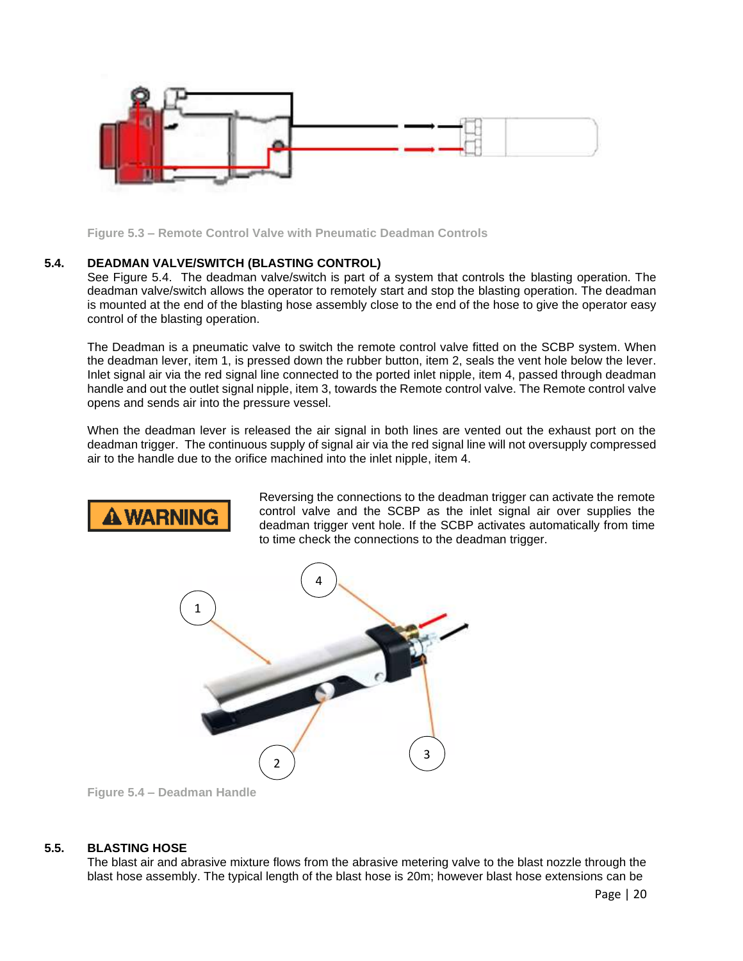

**Figure 5.3 – Remote Control Valve with Pneumatic Deadman Controls**

#### **5.4. DEADMAN VALVE/SWITCH (BLASTING CONTROL)**

See Figure 5.4. The deadman valve/switch is part of a system that controls the blasting operation. The deadman valve/switch allows the operator to remotely start and stop the blasting operation. The deadman is mounted at the end of the blasting hose assembly close to the end of the hose to give the operator easy control of the blasting operation.

The Deadman is a pneumatic valve to switch the remote control valve fitted on the SCBP system. When the deadman lever, item 1, is pressed down the rubber button, item 2, seals the vent hole below the lever. Inlet signal air via the red signal line connected to the ported inlet nipple, item 4, passed through deadman handle and out the outlet signal nipple, item 3, towards the Remote control valve. The Remote control valve opens and sends air into the pressure vessel.

When the deadman lever is released the air signal in both lines are vented out the exhaust port on the deadman trigger. The continuous supply of signal air via the red signal line will not oversupply compressed air to the handle due to the orifice machined into the inlet nipple, item 4.



Reversing the connections to the deadman trigger can activate the remote control valve and the SCBP as the inlet signal air over supplies the deadman trigger vent hole. If the SCBP activates automatically from time to time check the connections to the deadman trigger.



**Figure 5.4 – Deadman Handle**

#### **5.5. BLASTING HOSE**

The blast air and abrasive mixture flows from the abrasive metering valve to the blast nozzle through the blast hose assembly. The typical length of the blast hose is 20m; however blast hose extensions can be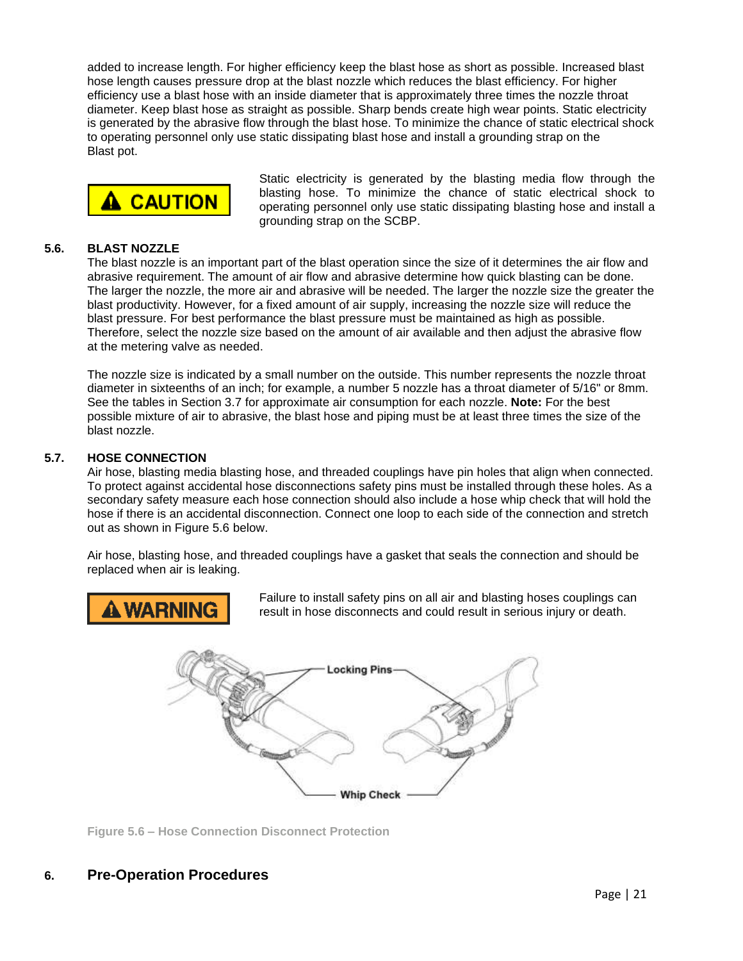added to increase length. For higher efficiency keep the blast hose as short as possible. Increased blast hose length causes pressure drop at the blast nozzle which reduces the blast efficiency. For higher efficiency use a blast hose with an inside diameter that is approximately three times the nozzle throat diameter. Keep blast hose as straight as possible. Sharp bends create high wear points. Static electricity is generated by the abrasive flow through the blast hose. To minimize the chance of static electrical shock to operating personnel only use static dissipating blast hose and install a grounding strap on the Blast pot.



Static electricity is generated by the blasting media flow through the blasting hose. To minimize the chance of static electrical shock to operating personnel only use static dissipating blasting hose and install a grounding strap on the SCBP.

#### **5.6. BLAST NOZZLE**

The blast nozzle is an important part of the blast operation since the size of it determines the air flow and abrasive requirement. The amount of air flow and abrasive determine how quick blasting can be done. The larger the nozzle, the more air and abrasive will be needed. The larger the nozzle size the greater the blast productivity. However, for a fixed amount of air supply, increasing the nozzle size will reduce the blast pressure. For best performance the blast pressure must be maintained as high as possible. Therefore, select the nozzle size based on the amount of air available and then adjust the abrasive flow at the metering valve as needed.

The nozzle size is indicated by a small number on the outside. This number represents the nozzle throat diameter in sixteenths of an inch; for example, a number 5 nozzle has a throat diameter of 5/16" or 8mm. See the tables in Section 3.7 for approximate air consumption for each nozzle. **Note:** For the best possible mixture of air to abrasive, the blast hose and piping must be at least three times the size of the blast nozzle.

#### **5.7. HOSE CONNECTION**

Air hose, blasting media blasting hose, and threaded couplings have pin holes that align when connected. To protect against accidental hose disconnections safety pins must be installed through these holes. As a secondary safety measure each hose connection should also include a hose whip check that will hold the hose if there is an accidental disconnection. Connect one loop to each side of the connection and stretch out as shown in Figure 5.6 below.

Air hose, blasting hose, and threaded couplings have a gasket that seals the connection and should be replaced when air is leaking.



Failure to install safety pins on all air and blasting hoses couplings can result in hose disconnects and could result in serious injury or death.



**Figure 5.6 – Hose Connection Disconnect Protection**

### **6. Pre-Operation Procedures**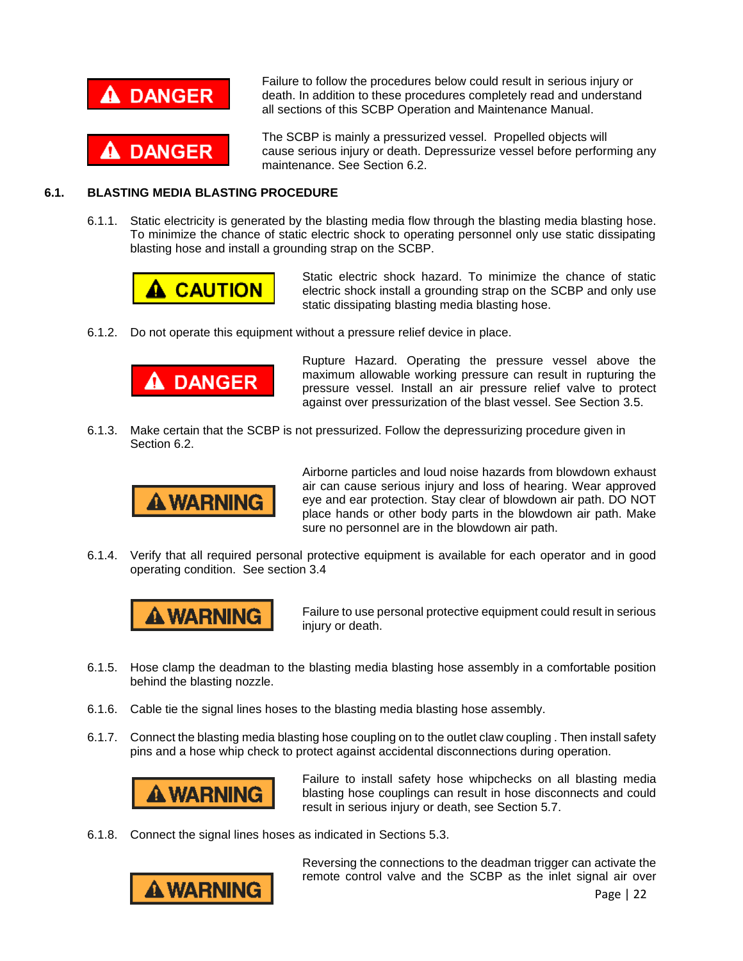

Failure to follow the procedures below could result in serious injury or death. In addition to these procedures completely read and understand all sections of this SCBP Operation and Maintenance Manual.

The SCBP is mainly a pressurized vessel. Propelled objects will cause serious injury or death. Depressurize vessel before performing any maintenance. See Section 6.2.

#### **6.1. BLASTING MEDIA BLASTING PROCEDURE**

6.1.1. Static electricity is generated by the blasting media flow through the blasting media blasting hose. To minimize the chance of static electric shock to operating personnel only use static dissipating blasting hose and install a grounding strap on the SCBP.



Static electric shock hazard. To minimize the chance of static electric shock install a grounding strap on the SCBP and only use static dissipating blasting media blasting hose.

6.1.2. Do not operate this equipment without a pressure relief device in place.



Rupture Hazard. Operating the pressure vessel above the maximum allowable working pressure can result in rupturing the pressure vessel. Install an air pressure relief valve to protect against over pressurization of the blast vessel. See Section 3.5.

6.1.3. Make certain that the SCBP is not pressurized. Follow the depressurizing procedure given in Section 6.2.



Airborne particles and loud noise hazards from blowdown exhaust air can cause serious injury and loss of hearing. Wear approved eye and ear protection. Stay clear of blowdown air path. DO NOT place hands or other body parts in the blowdown air path. Make sure no personnel are in the blowdown air path.

6.1.4. Verify that all required personal protective equipment is available for each operator and in good operating condition. See section 3.4



Failure to use personal protective equipment could result in serious injury or death.

- 6.1.5. Hose clamp the deadman to the blasting media blasting hose assembly in a comfortable position behind the blasting nozzle.
- 6.1.6. Cable tie the signal lines hoses to the blasting media blasting hose assembly.
- 6.1.7. Connect the blasting media blasting hose coupling on to the outlet claw coupling . Then install safety pins and a hose whip check to protect against accidental disconnections during operation.



Failure to install safety hose whipchecks on all blasting media blasting hose couplings can result in hose disconnects and could result in serious injury or death, see Section 5.7.

6.1.8. Connect the signal lines hoses as indicated in Sections 5.3.



Reversing the connections to the deadman trigger can activate the remote control valve and the SCBP as the inlet signal air over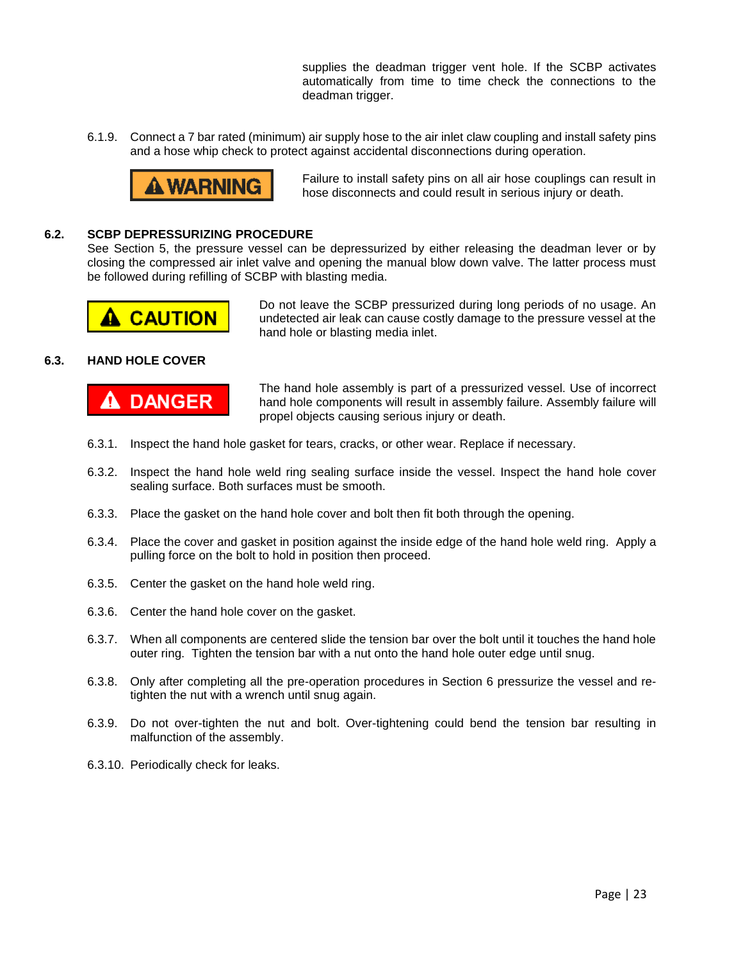supplies the deadman trigger vent hole. If the SCBP activates automatically from time to time check the connections to the deadman trigger.

6.1.9. Connect a 7 bar rated (minimum) air supply hose to the air inlet claw coupling and install safety pins and a hose whip check to protect against accidental disconnections during operation.



Failure to install safety pins on all air hose couplings can result in hose disconnects and could result in serious injury or death.

#### **6.2. SCBP DEPRESSURIZING PROCEDURE**

See Section 5, the pressure vessel can be depressurized by either releasing the deadman lever or by closing the compressed air inlet valve and opening the manual blow down valve. The latter process must be followed during refilling of SCBP with blasting media.



Do not leave the SCBP pressurized during long periods of no usage. An undetected air leak can cause costly damage to the pressure vessel at the hand hole or blasting media inlet.

#### **6.3. HAND HOLE COVER**



The hand hole assembly is part of a pressurized vessel. Use of incorrect hand hole components will result in assembly failure. Assembly failure will propel objects causing serious injury or death.

- 6.3.1. Inspect the hand hole gasket for tears, cracks, or other wear. Replace if necessary.
- 6.3.2. Inspect the hand hole weld ring sealing surface inside the vessel. Inspect the hand hole cover sealing surface. Both surfaces must be smooth.
- 6.3.3. Place the gasket on the hand hole cover and bolt then fit both through the opening.
- 6.3.4. Place the cover and gasket in position against the inside edge of the hand hole weld ring. Apply a pulling force on the bolt to hold in position then proceed.
- 6.3.5. Center the gasket on the hand hole weld ring.
- 6.3.6. Center the hand hole cover on the gasket.
- 6.3.7. When all components are centered slide the tension bar over the bolt until it touches the hand hole outer ring. Tighten the tension bar with a nut onto the hand hole outer edge until snug.
- 6.3.8. Only after completing all the pre-operation procedures in Section 6 pressurize the vessel and retighten the nut with a wrench until snug again.
- 6.3.9. Do not over-tighten the nut and bolt. Over-tightening could bend the tension bar resulting in malfunction of the assembly.
- 6.3.10. Periodically check for leaks.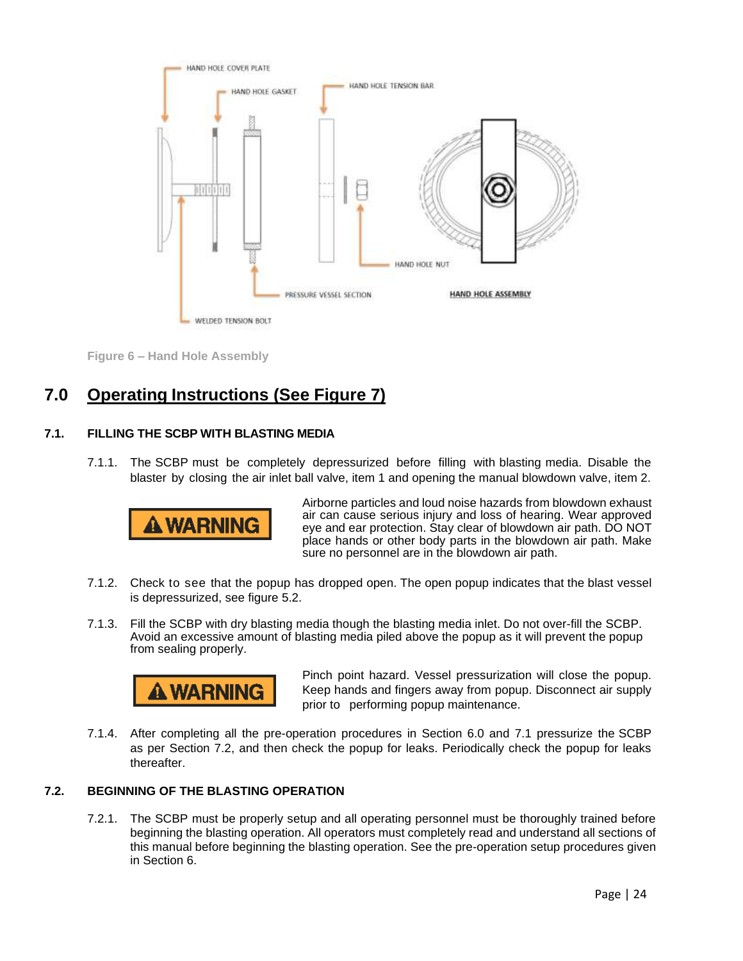

**Figure 6 – Hand Hole Assembly**

## **7.0 Operating Instructions (See Figure 7)**

#### **7.1. FILLING THE SCBP WITH BLASTING MEDIA**

7.1.1. The SCBP must be completely depressurized before filling with blasting media. Disable the blaster by closing the air inlet ball valve, item 1 and opening the manual blowdown valve, item 2.



Airborne particles and loud noise hazards from blowdown exhaust air can cause serious injury and loss of hearing. Wear approved eye and ear protection. Stay clear of blowdown air path. DO NOT place hands or other body parts in the blowdown air path. Make sure no personnel are in the blowdown air path.

- 7.1.2. Check to see that the popup has dropped open. The open popup indicates that the blast vessel is depressurized, see figure 5.2.
- 7.1.3. Fill the SCBP with dry blasting media though the blasting media inlet. Do not over-fill the SCBP. Avoid an excessive amount of blasting media piled above the popup as it will prevent the popup from sealing properly.



Pinch point hazard. Vessel pressurization will close the popup. Keep hands and fingers away from popup. Disconnect air supply prior to performing popup maintenance.

7.1.4. After completing all the pre-operation procedures in Section 6.0 and 7.1 pressurize the SCBP as per Section 7.2, and then check the popup for leaks. Periodically check the popup for leaks thereafter.

#### **7.2. BEGINNING OF THE BLASTING OPERATION**

7.2.1. The SCBP must be properly setup and all operating personnel must be thoroughly trained before beginning the blasting operation. All operators must completely read and understand all sections of this manual before beginning the blasting operation. See the pre-operation setup procedures given in Section 6.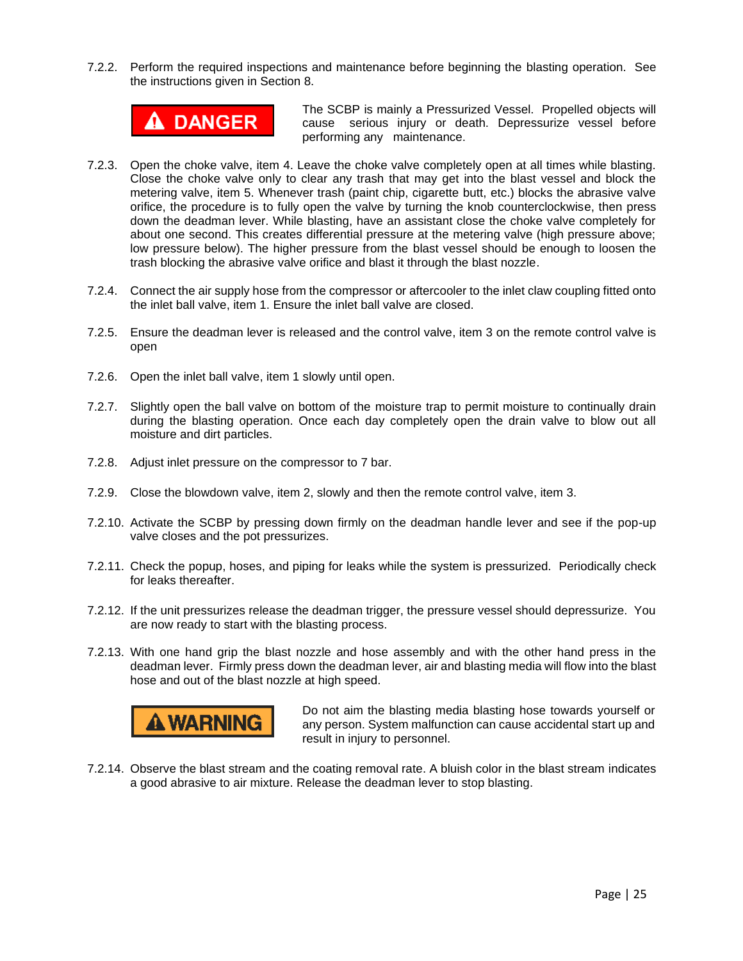7.2.2. Perform the required inspections and maintenance before beginning the blasting operation. See the instructions given in Section 8.



The SCBP is mainly a Pressurized Vessel. Propelled objects will cause serious injury or death. Depressurize vessel before performing any maintenance.

- 7.2.3. Open the choke valve, item 4. Leave the choke valve completely open at all times while blasting. Close the choke valve only to clear any trash that may get into the blast vessel and block the metering valve, item 5. Whenever trash (paint chip, cigarette butt, etc.) blocks the abrasive valve orifice, the procedure is to fully open the valve by turning the knob counterclockwise, then press down the deadman lever. While blasting, have an assistant close the choke valve completely for about one second. This creates differential pressure at the metering valve (high pressure above; low pressure below). The higher pressure from the blast vessel should be enough to loosen the trash blocking the abrasive valve orifice and blast it through the blast nozzle.
- 7.2.4. Connect the air supply hose from the compressor or aftercooler to the inlet claw coupling fitted onto the inlet ball valve, item 1. Ensure the inlet ball valve are closed.
- 7.2.5. Ensure the deadman lever is released and the control valve, item 3 on the remote control valve is open
- 7.2.6. Open the inlet ball valve, item 1 slowly until open.
- 7.2.7. Slightly open the ball valve on bottom of the moisture trap to permit moisture to continually drain during the blasting operation. Once each day completely open the drain valve to blow out all moisture and dirt particles.
- 7.2.8. Adjust inlet pressure on the compressor to 7 bar.
- 7.2.9. Close the blowdown valve, item 2, slowly and then the remote control valve, item 3.
- 7.2.10. Activate the SCBP by pressing down firmly on the deadman handle lever and see if the pop-up valve closes and the pot pressurizes.
- 7.2.11. Check the popup, hoses, and piping for leaks while the system is pressurized. Periodically check for leaks thereafter.
- 7.2.12. If the unit pressurizes release the deadman trigger, the pressure vessel should depressurize. You are now ready to start with the blasting process.
- 7.2.13. With one hand grip the blast nozzle and hose assembly and with the other hand press in the deadman lever. Firmly press down the deadman lever, air and blasting media will flow into the blast hose and out of the blast nozzle at high speed.



Do not aim the blasting media blasting hose towards yourself or any person. System malfunction can cause accidental start up and result in injury to personnel.

7.2.14. Observe the blast stream and the coating removal rate. A bluish color in the blast stream indicates a good abrasive to air mixture. Release the deadman lever to stop blasting.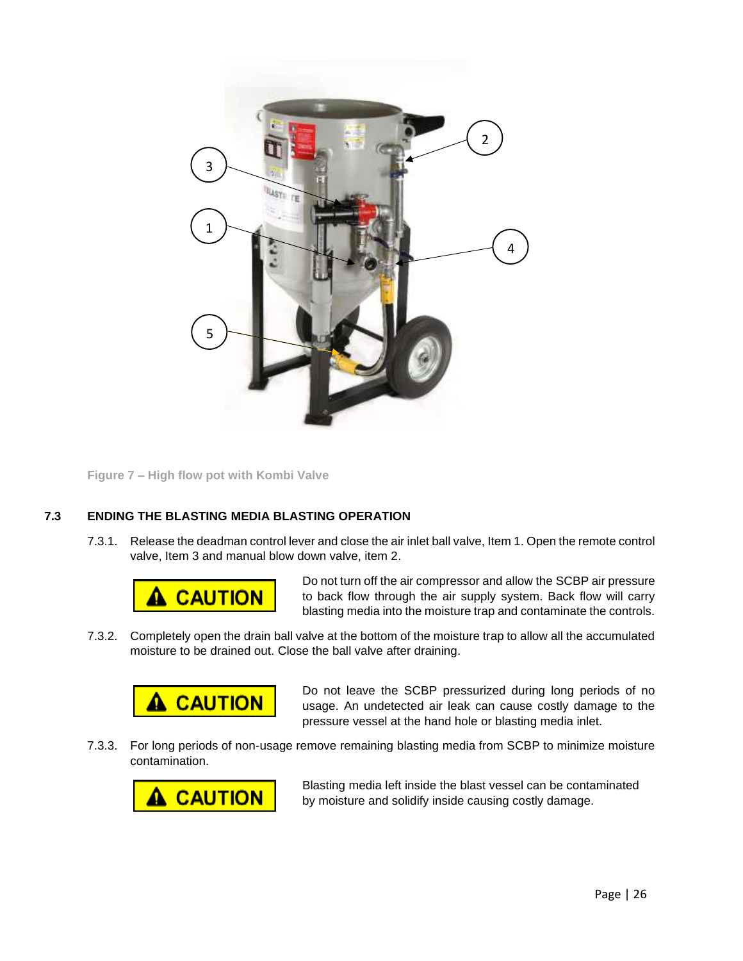

**Figure 7 – High flow pot with Kombi Valve**

#### **7.3 ENDING THE BLASTING MEDIA BLASTING OPERATION**

7.3.1. Release the deadman control lever and close the air inlet ball valve, Item 1. Open the remote control valve, Item 3 and manual blow down valve, item 2.



Do not turn off the air compressor and allow the SCBP air pressure to back flow through the air supply system. Back flow will carry blasting media into the moisture trap and contaminate the controls.

7.3.2. Completely open the drain ball valve at the bottom of the moisture trap to allow all the accumulated moisture to be drained out. Close the ball valve after draining.



Do not leave the SCBP pressurized during long periods of no usage. An undetected air leak can cause costly damage to the pressure vessel at the hand hole or blasting media inlet.

7.3.3. For long periods of non-usage remove remaining blasting media from SCBP to minimize moisture contamination.



Blasting media left inside the blast vessel can be contaminated by moisture and solidify inside causing costly damage.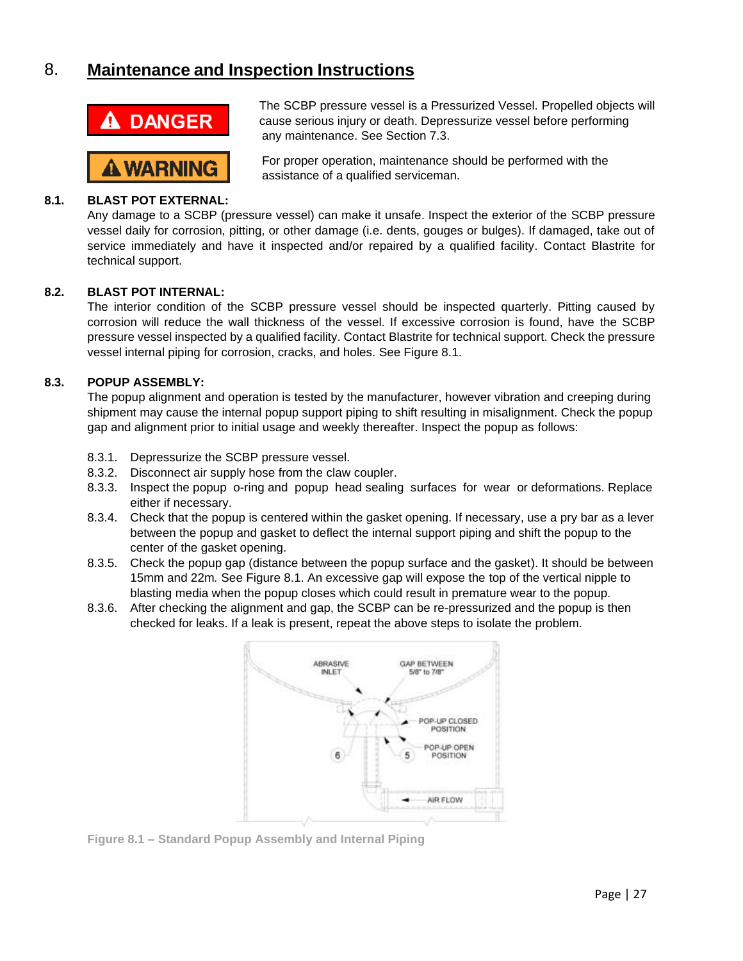## 8. **Maintenance and Inspection Instructions**



**û WARNING** 

The SCBP pressure vessel is a Pressurized Vessel. Propelled objects will cause serious injury or death. Depressurize vessel before performing any maintenance. See Section 7.3.

For proper operation, maintenance should be performed with the assistance of a qualified serviceman.

#### **8.1. BLAST POT EXTERNAL:**

Any damage to a SCBP (pressure vessel) can make it unsafe. Inspect the exterior of the SCBP pressure vessel daily for corrosion, pitting, or other damage (i.e. dents, gouges or bulges). If damaged, take out of service immediately and have it inspected and/or repaired by a qualified facility. Contact Blastrite for technical support.

#### **8.2. BLAST POT INTERNAL:**

The interior condition of the SCBP pressure vessel should be inspected quarterly. Pitting caused by corrosion will reduce the wall thickness of the vessel. If excessive corrosion is found, have the SCBP pressure vessel inspected by a qualified facility. Contact Blastrite for technical support. Check the pressure vessel internal piping for corrosion, cracks, and holes. See Figure 8.1.

#### **8.3. POPUP ASSEMBLY:**

The popup alignment and operation is tested by the manufacturer, however vibration and creeping during shipment may cause the internal popup support piping to shift resulting in misalignment. Check the popup gap and alignment prior to initial usage and weekly thereafter. Inspect the popup as follows:

- 8.3.1. Depressurize the SCBP pressure vessel.
- 8.3.2. Disconnect air supply hose from the claw coupler.
- 8.3.3. Inspect the popup o-ring and popup head sealing surfaces for wear or deformations. Replace either if necessary.
- 8.3.4. Check that the popup is centered within the gasket opening. If necessary, use a pry bar as a lever between the popup and gasket to deflect the internal support piping and shift the popup to the center of the gasket opening.
- 8.3.5. Check the popup gap (distance between the popup surface and the gasket). It should be between 15mm and 22m*.* See Figure 8.1. An excessive gap will expose the top of the vertical nipple to blasting media when the popup closes which could result in premature wear to the popup.
- 8.3.6. After checking the alignment and gap, the SCBP can be re-pressurized and the popup is then checked for leaks. If a leak is present, repeat the above steps to isolate the problem.



**Figure 8.1 – Standard Popup Assembly and Internal Piping**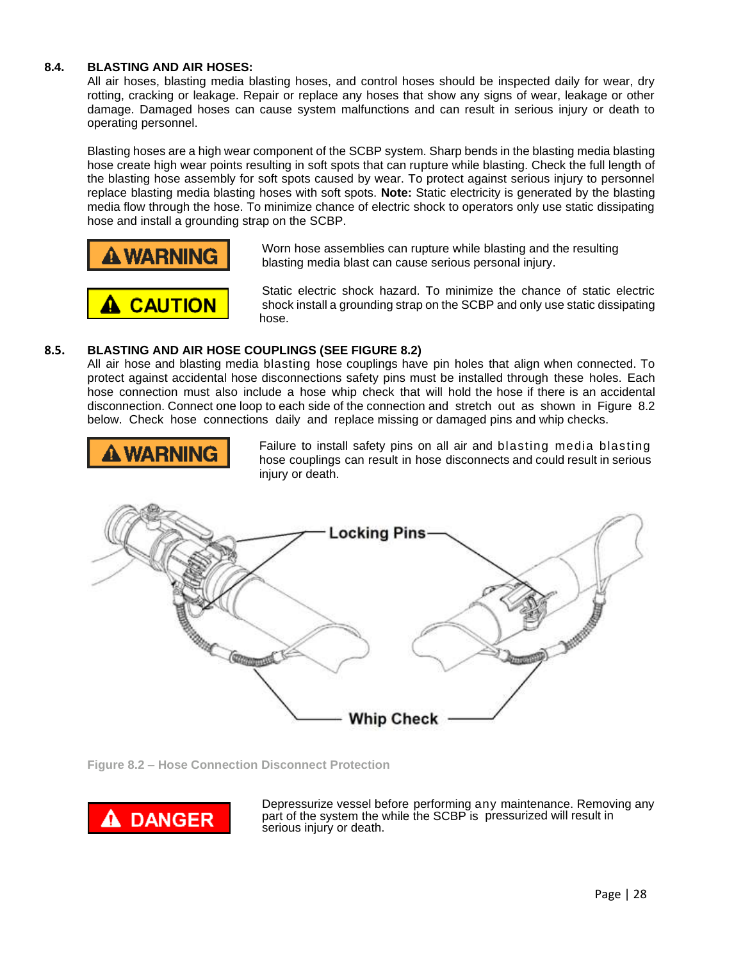#### **8.4. BLASTING AND AIR HOSES:**

All air hoses, blasting media blasting hoses, and control hoses should be inspected daily for wear, dry rotting, cracking or leakage. Repair or replace any hoses that show any signs of wear, leakage or other damage. Damaged hoses can cause system malfunctions and can result in serious injury or death to operating personnel.

Blasting hoses are a high wear component of the SCBP system. Sharp bends in the blasting media blasting hose create high wear points resulting in soft spots that can rupture while blasting. Check the full length of the blasting hose assembly for soft spots caused by wear. To protect against serious injury to personnel replace blasting media blasting hoses with soft spots. **Note:** Static electricity is generated by the blasting media flow through the hose. To minimize chance of electric shock to operators only use static dissipating hose and install a grounding strap on the SCBP.





Worn hose assemblies can rupture while blasting and the resulting blasting media blast can cause serious personal injury.

Static electric shock hazard. To minimize the chance of static electric shock install a grounding strap on the SCBP and only use static dissipating hose.

#### **8.5. BLASTING AND AIR HOSE COUPLINGS (SEE FIGURE 8.2)**

All air hose and blasting media blasting hose couplings have pin holes that align when connected. To protect against accidental hose disconnections safety pins must be installed through these holes. Each hose connection must also include a hose whip check that will hold the hose if there is an accidental disconnection. Connect one loop to each side of the connection and stretch out as shown in Figure 8.2 below. Check hose connections daily and replace missing or damaged pins and whip checks.



Failure to install safety pins on all air and blasting media blasting hose couplings can result in hose disconnects and could result in serious injury or death.



**Figure 8.2 – Hose Connection Disconnect Protection**



Depressurize vessel before performing any maintenance. Removing any part of the system the while the SCBP is pressurized will result in serious injury or death.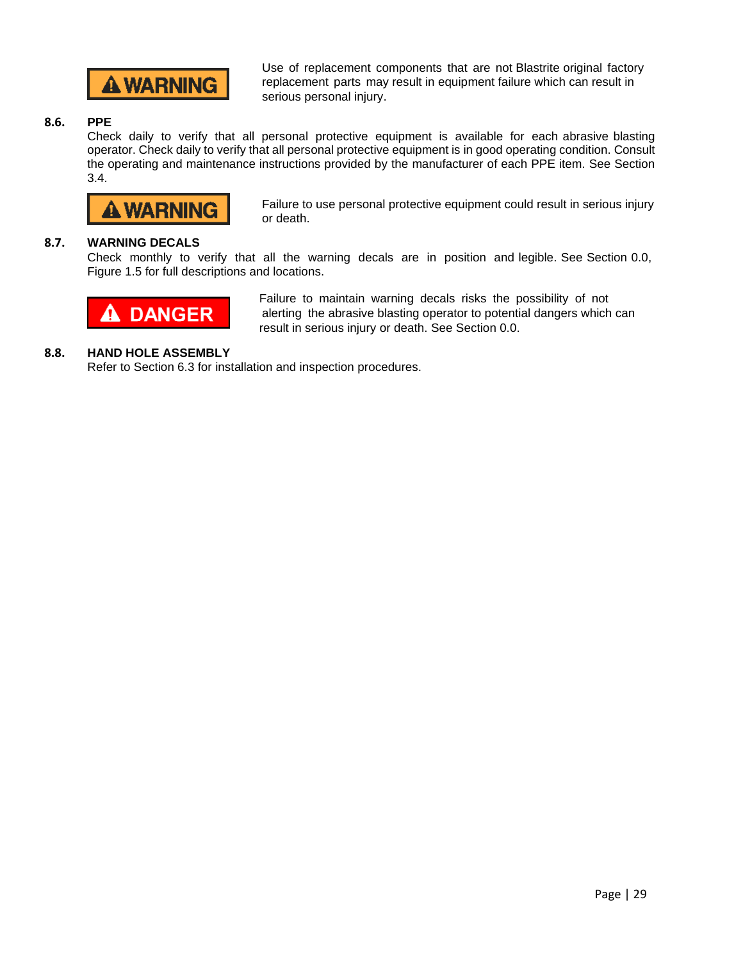

Use of replacement components that are not Blastrite original factory replacement parts may result in equipment failure which can result in serious personal injury.

#### **8.6. PPE**

Check daily to verify that all personal protective equipment is available for each abrasive blasting operator. Check daily to verify that all personal protective equipment is in good operating condition. Consult the operating and maintenance instructions provided by the manufacturer of each PPE item. See Section 3.4.

# A WARNING

Failure to use personal protective equipment could result in serious injury or death.

#### **8.7. WARNING DECALS**

Check monthly to verify that all the warning decals are in position and legible. See Section 0.0, Figure 1.5 for full descriptions and locations.



Failure to maintain warning decals risks the possibility of not alerting the abrasive blasting operator to potential dangers which can result in serious injury or death. See Section 0.0.

#### **8.8. HAND HOLE ASSEMBLY**

Refer to Section 6.3 for installation and inspection procedures.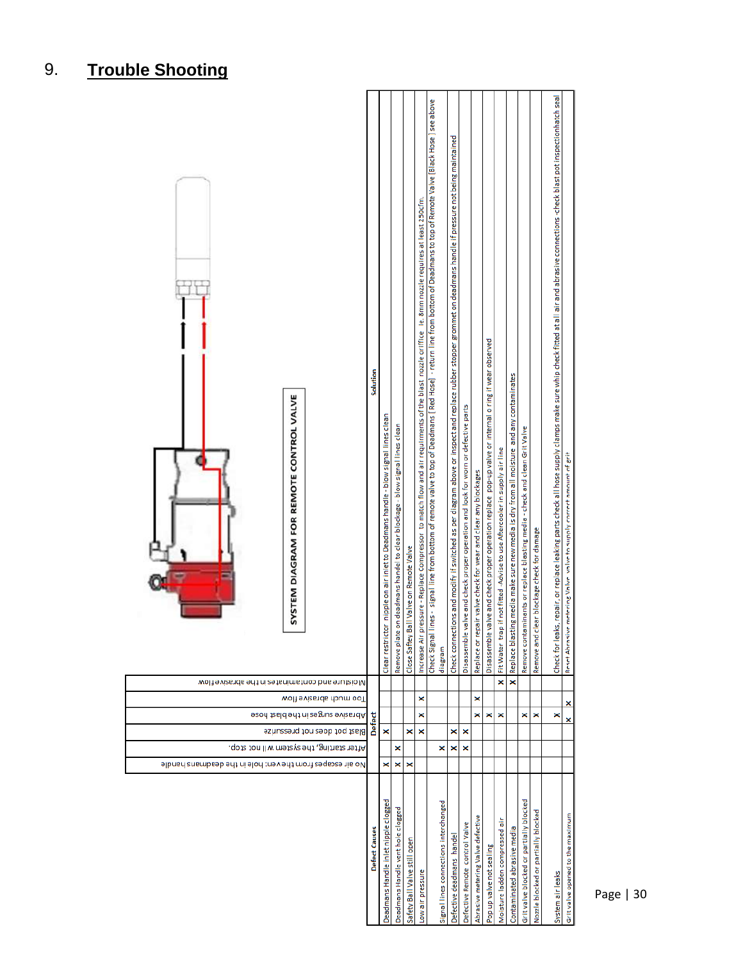| SYSTEM DIAGRAM FOR REMOTE CONTROL VALVE                                    | Solution      | Clear restrictor nipple on air inlet to Deadmans handle - blow signal lines clean | on deadmans handel to clear blockage - blow signal lines clean<br>Remove plate | Close Saftey Ball Valve on Remote Valve | ressure - Replace Compressor to match flow and air requirments of the blast nozzle oriffice ie. 8mm nozzle requires at least 250cfm.<br>Increase Air pr | Check Signal lines - signal line from bottom of remote valve to p of Deadmans [ Red Hose] - return line from bottom of Deadmans to top of Remote Valve [Black Hose ] see above<br>diagram | Check connections and modify if switched as per diagram above or inspect and replace rubber stopper grommet on deadmans handle if pressure not being maintained | Disassemble valve and check proper operation and look for worn or defective parts | Replace or repair valve check for wear and clear any blockages | Disassemble valve and check proper operation replace pop-up valve or internal o ring if wear observed | Fit Water trap if not fitted -Advise to use Aftercooler in supply air line | Replace blasting media make sure new media is dry from all moisture and any contaminates | minants or replace blasting media - check and clean Grit Valve<br>Remove contar | Remove and clear blockage check for damage | Check for leaks, repair, or replace leaking parts check all hose supply clamps make sure whip check fitted at all air and abrasive connections -check blast pot inspectionhatch seal | Reset Abrasive metering Valve valve to supply correct amount of grit |
|----------------------------------------------------------------------------|---------------|-----------------------------------------------------------------------------------|--------------------------------------------------------------------------------|-----------------------------------------|---------------------------------------------------------------------------------------------------------------------------------------------------------|-------------------------------------------------------------------------------------------------------------------------------------------------------------------------------------------|-----------------------------------------------------------------------------------------------------------------------------------------------------------------|-----------------------------------------------------------------------------------|----------------------------------------------------------------|-------------------------------------------------------------------------------------------------------|----------------------------------------------------------------------------|------------------------------------------------------------------------------------------|---------------------------------------------------------------------------------|--------------------------------------------|--------------------------------------------------------------------------------------------------------------------------------------------------------------------------------------|----------------------------------------------------------------------|
| Wolf evizends entaminates in the abrasive flow                             |               |                                                                                   |                                                                                |                                         |                                                                                                                                                         |                                                                                                                                                                                           |                                                                                                                                                                 |                                                                                   |                                                                |                                                                                                       | ×                                                                          | ×                                                                                        |                                                                                 |                                            |                                                                                                                                                                                      |                                                                      |
| Too much abrasive flow                                                     |               |                                                                                   |                                                                                |                                         | ×                                                                                                                                                       |                                                                                                                                                                                           |                                                                                                                                                                 |                                                                                   | ×                                                              |                                                                                                       |                                                                            |                                                                                          |                                                                                 |                                            |                                                                                                                                                                                      | ×                                                                    |
| seon tasid shi ni zagnuz svizsndA                                          | Defect        |                                                                                   |                                                                                |                                         | ×                                                                                                                                                       |                                                                                                                                                                                           |                                                                                                                                                                 |                                                                                   | ×                                                              | ×                                                                                                     | ×                                                                          |                                                                                          | ×                                                                               | ×                                          | ×                                                                                                                                                                                    | ×                                                                    |
| Blast pot does not pressurize<br>After starting, the system will not stop. |               | ×                                                                                 | ×                                                                              | ×                                       | ×                                                                                                                                                       | ×                                                                                                                                                                                         | ×<br>×                                                                                                                                                          | ×<br>×                                                                            |                                                                |                                                                                                       |                                                                            |                                                                                          |                                                                                 |                                            |                                                                                                                                                                                      |                                                                      |
| 9lbnsrl znsmbseb 9rlt ni 9lorl trev 9rlt mott zegspære bandle              |               | ×                                                                                 | ×                                                                              | ×                                       |                                                                                                                                                         |                                                                                                                                                                                           |                                                                                                                                                                 |                                                                                   |                                                                |                                                                                                       |                                                                            |                                                                                          |                                                                                 |                                            |                                                                                                                                                                                      |                                                                      |
|                                                                            | Defect Causes | Deadmans Handle inlet nipple clogged                                              | Deadmans Handle vent hole clogged                                              | Safety Ball Valve still open            | Low air pressure                                                                                                                                        | Signal lines connections interchanged                                                                                                                                                     | Defective deadmans handel                                                                                                                                       | Defective Remote control Valve                                                    | Abrasive metering Valve defective                              | Pop up valve not sealing                                                                              | Moisture ladden compressed air                                             | Contaminated abrasive media                                                              | Grit valve blocked or partially blocked                                         | Nozzle blocked or partially blocked        | System air leaks                                                                                                                                                                     | Grit valve opened to the maximum                                     |

# 9. **Trouble Shooting**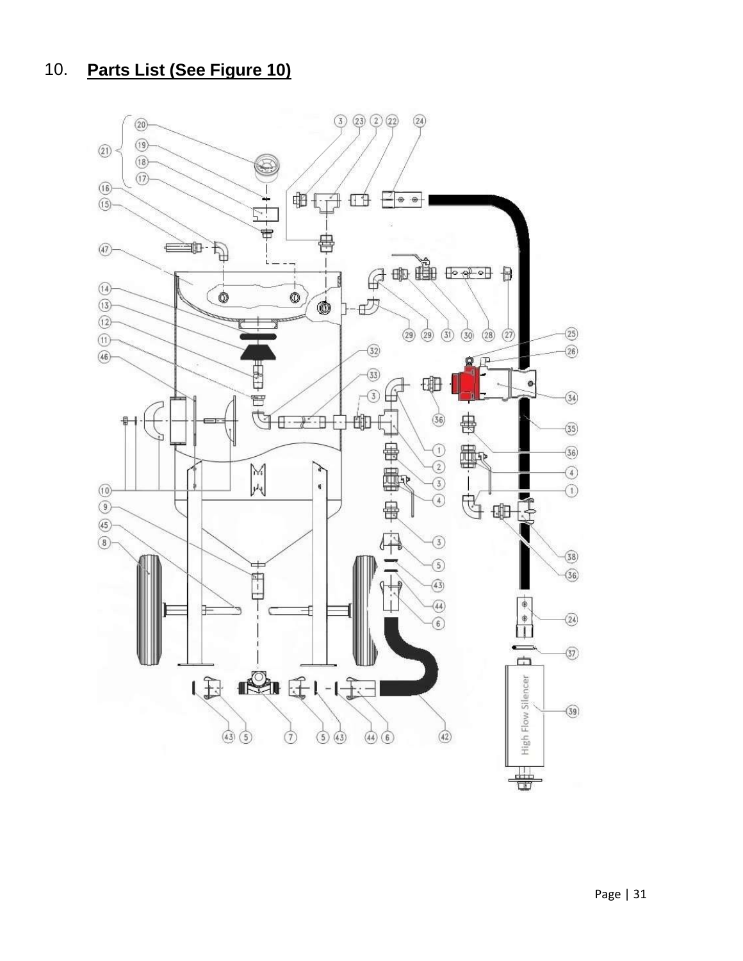# 10. **Parts List (See Figure 10)**

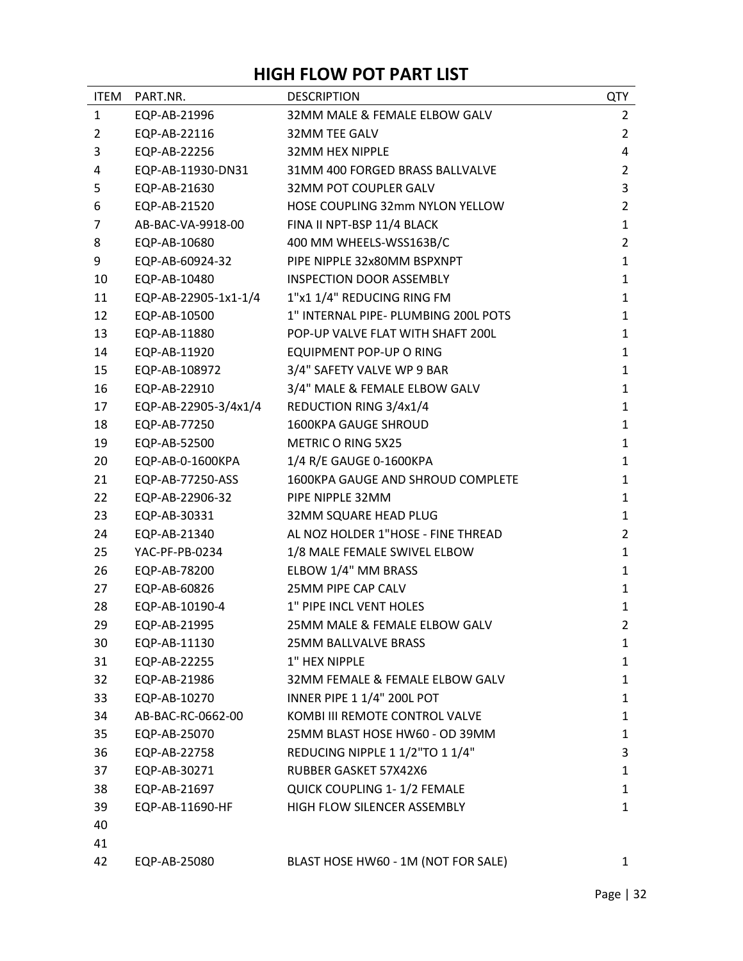## **HIGH FLOW POT PART LIST**

| <b>ITEM</b>    | PART.NR.             | <b>DESCRIPTION</b>                   | QTY            |
|----------------|----------------------|--------------------------------------|----------------|
| $\mathbf{1}$   | EQP-AB-21996         | 32MM MALE & FEMALE ELBOW GALV        | $\overline{2}$ |
| 2              | EQP-AB-22116         | 32MM TEE GALV                        | $\overline{2}$ |
| 3              | EQP-AB-22256         | <b>32MM HEX NIPPLE</b>               | 4              |
| 4              | EQP-AB-11930-DN31    | 31MM 400 FORGED BRASS BALLVALVE      | $\overline{2}$ |
| 5              | EQP-AB-21630         | 32MM POT COUPLER GALV                | 3              |
| 6              | EQP-AB-21520         | HOSE COUPLING 32mm NYLON YELLOW      | $\overline{2}$ |
| $\overline{7}$ | AB-BAC-VA-9918-00    | FINA II NPT-BSP 11/4 BLACK           | $\mathbf{1}$   |
| 8              | EQP-AB-10680         | 400 MM WHEELS-WSS163B/C              | $\overline{2}$ |
| 9              | EQP-AB-60924-32      | PIPE NIPPLE 32x80MM BSPXNPT          | $\mathbf{1}$   |
| 10             | EQP-AB-10480         | <b>INSPECTION DOOR ASSEMBLY</b>      | $\mathbf{1}$   |
| 11             | EQP-AB-22905-1x1-1/4 | 1"x1 1/4" REDUCING RING FM           | $\mathbf{1}$   |
| 12             | EQP-AB-10500         | 1" INTERNAL PIPE- PLUMBING 200L POTS | $\mathbf{1}$   |
| 13             | EQP-AB-11880         | POP-UP VALVE FLAT WITH SHAFT 200L    | $\mathbf{1}$   |
| 14             | EQP-AB-11920         | EQUIPMENT POP-UP O RING              | $\mathbf{1}$   |
| 15             | EQP-AB-108972        | 3/4" SAFETY VALVE WP 9 BAR           | $\mathbf{1}$   |
| 16             | EQP-AB-22910         | 3/4" MALE & FEMALE ELBOW GALV        | $\mathbf{1}$   |
| 17             | EQP-AB-22905-3/4x1/4 | REDUCTION RING 3/4x1/4               | $\mathbf{1}$   |
| 18             | EQP-AB-77250         | 1600KPA GAUGE SHROUD                 | $\mathbf{1}$   |
| 19             | EQP-AB-52500         | <b>METRIC O RING 5X25</b>            | $\mathbf{1}$   |
| 20             | EQP-AB-0-1600KPA     | 1/4 R/E GAUGE 0-1600KPA              | $\mathbf{1}$   |
| 21             | EQP-AB-77250-ASS     | 1600KPA GAUGE AND SHROUD COMPLETE    | $\mathbf{1}$   |
| 22             | EQP-AB-22906-32      | PIPE NIPPLE 32MM                     | $\mathbf{1}$   |
| 23             | EQP-AB-30331         | 32MM SQUARE HEAD PLUG                | $\mathbf{1}$   |
| 24             | EQP-AB-21340         | AL NOZ HOLDER 1"HOSE - FINE THREAD   | $\overline{2}$ |
| 25             | YAC-PF-PB-0234       | 1/8 MALE FEMALE SWIVEL ELBOW         | $\mathbf{1}$   |
| 26             | EQP-AB-78200         | ELBOW 1/4" MM BRASS                  | $\mathbf{1}$   |
| 27             | EQP-AB-60826         | 25MM PIPE CAP CALV                   | $\mathbf{1}$   |
| 28             | EQP-AB-10190-4       | 1" PIPE INCL VENT HOLES              | $\mathbf{1}$   |
| 29             | EQP-AB-21995         | 25MM MALE & FEMALE ELBOW GALV        | $\overline{2}$ |
| 30             | EQP-AB-11130         | <b>25MM BALLVALVE BRASS</b>          | 1              |
| 31             | EQP-AB-22255         | 1" HEX NIPPLE                        | $\mathbf{1}$   |
| 32             | EQP-AB-21986         | 32MM FEMALE & FEMALE ELBOW GALV      | 1              |
| 33             | EQP-AB-10270         | INNER PIPE 1 1/4" 200L POT           | $\mathbf{1}$   |
| 34             | AB-BAC-RC-0662-00    | KOMBI III REMOTE CONTROL VALVE       | 1              |
| 35             | EQP-AB-25070         | 25MM BLAST HOSE HW60 - OD 39MM       | $\mathbf{1}$   |
| 36             | EQP-AB-22758         | REDUCING NIPPLE 1 1/2"TO 1 1/4"      | 3              |
| 37             | EQP-AB-30271         | RUBBER GASKET 57X42X6                | 1              |
| 38             | EQP-AB-21697         | QUICK COUPLING 1-1/2 FEMALE          | 1              |
| 39             | EQP-AB-11690-HF      | HIGH FLOW SILENCER ASSEMBLY          | $\mathbf{1}$   |
| 40             |                      |                                      |                |
| 41             |                      |                                      |                |
| 42             | EQP-AB-25080         | BLAST HOSE HW60 - 1M (NOT FOR SALE)  | $\mathbf{1}$   |